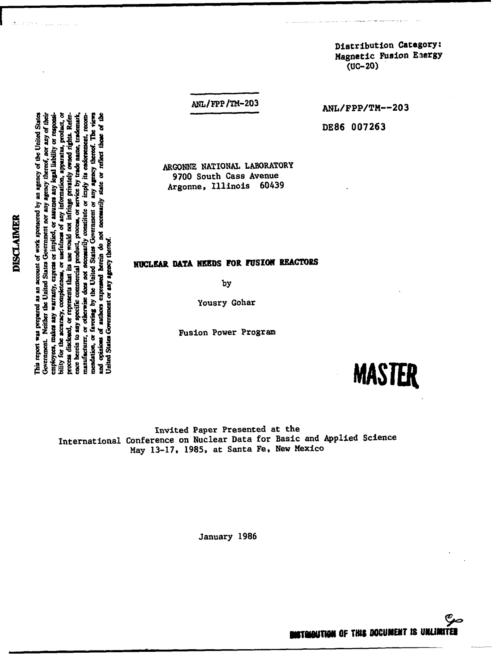**>-\*«\*<W OB** tribution Category:<br>netic Fusion Energy<br>UC-20) **•^^ r t**

**Government. Nehiw tbe United Stales Government nor any** *agency thereof, nor any* **of their employee\*, makes any warranty, express or implied, or assumes any legal liability or responsibility for tbe accuracy, completeness, or usefulness of any information, apparatus, product, or process disclosed, or represents that its use would not infringe privately owned rights. Refer-**This report was prepared as an account of work sponsored by an agency of the United States **This report was prepared as an account of work sponsored by an agency of the United States** Government. Neither the United States Government nor any agency thereof, nor any of their information, apparatus, product, or owned rights. Referor service by trade name, trademark, **ence herein to any specific commercial product, process, or service by trade name, trademark, manufacturer, or otherwise does not necessarily constitute or imply its endorsement, recommendation, or favoring by the United States Government or any agency thereof. Tbe views and opinkas of authors expressed herein do not necessarily state or reflect those of the** 칠 legal liability or responsi manufacturer, or otherwise does not necessarily constitute or imply its endorsement, recom-٦, ency thereof. The or reflect those process disclosed, or represents that its use would not infringe privately authors expressed herein do not necessarily state or assumes any ă favoring by the United States Government or usefulness of any note berein to any specific commercial product, process or implied. **United States Government or any agency thereof.** Juited States Government or any agency thereof employees, makes any warranty, express bility for the accuracy, completeness, mendation, or opinions Ē

**DISCLAIMER**

DISCLAIMER

ANL/FPP/TM-203

ANL/FPP/TM--203

**DE86 00726** 

ARGONNE NATIONAL LABORATORY 9700 South Cass Avenue Argonne, Illinois 60439

# NUCLEAR DATA NEEDS FOR FUSION REACTORS

by

ousry Gohar

on Power Pro



Invited Paper Presented at the ed Sci May 13-17, 1985, at Santa Fe, New Mexico

January 198

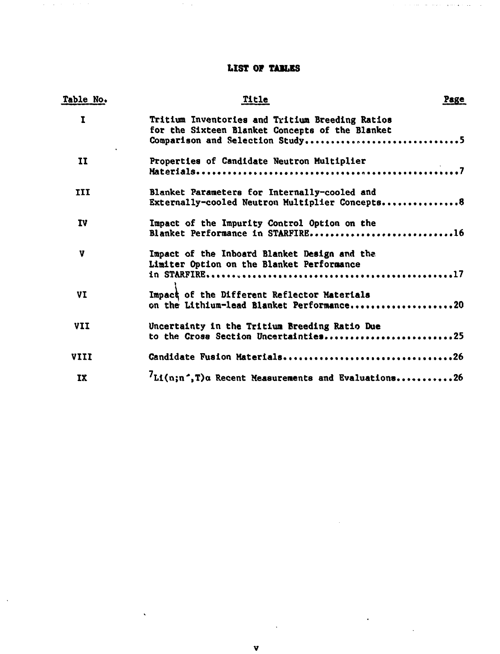# **LIST OF TABLES**

والمتابع والمسترد ومواسرته

# Table No. **The Page of the Page of the Page** Page of the Page of the Page of the Page of the Page of the Page of the Page of the Page of the Page of the Page of the Page of the Page of the Page of the Page of the Page of t

 $\mathcal{O}(\mathcal{O}(\log n))$ 

 $\mathcal{A}=\mathcal{A}$  , we have  $\mathcal{A}=\mathcal{A}$ 

 $\bar{\mathcal{A}}$ 

| Ι.         | Tritium Inventories and Tritium Breeding Ratios<br>for the Sixteen Blanket Concepts of the Blanket<br>Comparison and Selection Study5 |
|------------|---------------------------------------------------------------------------------------------------------------------------------------|
| II         | Properties of Candidate Neutron Multiplier                                                                                            |
| <b>III</b> | Blanket Parameters for Internally-cooled and<br>Externally-cooled Neutron Multiplier Concepts8                                        |
| 1V         | Impact of the Impurity Control Option on the<br>Blanket Performance in STARFIRE16                                                     |
| v          | Impact of the Inboard Blanket Design and the<br>Limiter Option on the Blanket Performance                                             |
| VI         | Impact of the Different Reflector Materials<br>on the Lithium-lead Blanket Performance20                                              |
| VII        | Uncertainty in the Tritium Breeding Ratio Due<br>to the Cross Section Uncertainties25                                                 |
| VIII       | Candidate Fusion Materials26                                                                                                          |
| IX         | $L1(n;n^*,T)$ a Recent Measurements and Evaluations26                                                                                 |

 $\bar{\mathcal{A}}$ 

 $\sim$ 

 $\bar{\beta}$ 

 $\hat{\mathbf{v}}$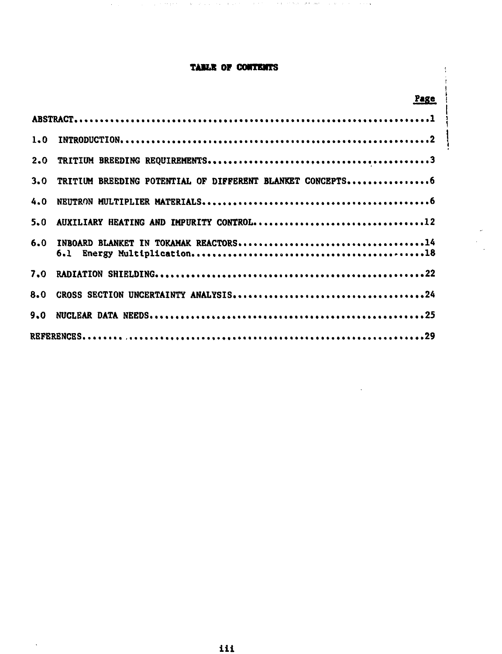# **TAILS OF oomnans**

approached the contract of the contract of the contract Material County and the contract of

ţ

ļ

|     | Page                                                      |  |
|-----|-----------------------------------------------------------|--|
|     |                                                           |  |
| 1.0 |                                                           |  |
| 2.0 |                                                           |  |
| 3.0 | TRITIUM BREEDING POTENTIAL OF DIFFERENT BLANKET CONCEPTS6 |  |
| 4.0 |                                                           |  |
| 5.0 | AUXILIARY HEATING AND IMPURITY CONTROL12                  |  |
| 6.0 |                                                           |  |
| 7.0 |                                                           |  |
| 8.0 |                                                           |  |
| 9.0 |                                                           |  |
|     |                                                           |  |

 $\ddot{\phantom{a}}$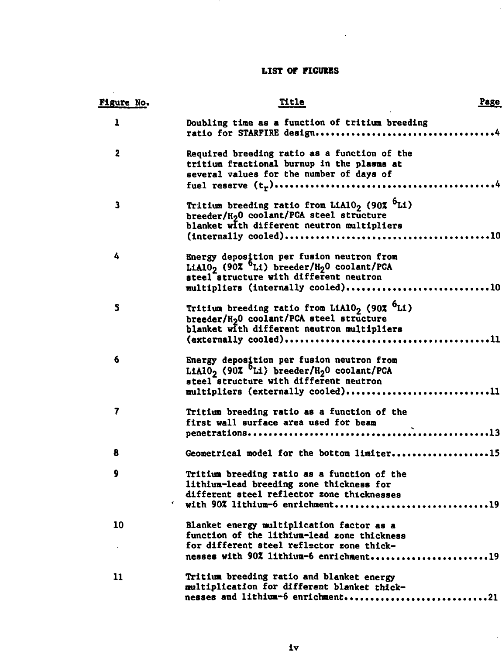# **LIST OF FIGURES**

 $\sim$  4.

| <u>Figure No.</u>       | Title                                                                                                                                                                                                     | Page |
|-------------------------|-----------------------------------------------------------------------------------------------------------------------------------------------------------------------------------------------------------|------|
| ı                       | Doubling time as a function of tritium breeding                                                                                                                                                           |      |
| $\overline{\mathbf{2}}$ | Required breeding ratio as a function of the<br>tritium fractional burnup in the plasma at<br>several values for the number of days of                                                                    |      |
| з                       | Tritium breeding ratio from LiAlO <sub>2</sub> (90% <sup>b</sup> Li)<br>breeder/H <sub>2</sub> 0 coolant/PCA steel structure<br>blanket with different neutron multipliers                                |      |
| 4                       | Energy deposition per fusion neutron from<br>LiAlO <sub>2</sub> (90% <sup>O</sup> Li) breeder/H <sub>2</sub> O coolant/PCA<br>steel structure with different neutron<br>multipliers (internally cooled)10 |      |
| 5                       | Tritium breeding ratio from LiAlO <sub>2</sub> (90% <sup>6</sup> Li)<br>breeder/H <sub>2</sub> 0 coolant/PCA steel structure<br>blanket with different neutron multipliers                                |      |
| 6                       | Energy deposition per fusion neutron from<br>LiAlO <sub>2</sub> (90% <sup>O</sup> Li) breeder/H <sub>2</sub> O coolant/PCA<br>steel structure with different neutron<br>multipliers (externally cooled)11 |      |
| 7                       | Tritium breeding ratio as a function of the<br>first wall surface area used for beam                                                                                                                      |      |
| 8                       | Geometrical model for the bottom limiter15                                                                                                                                                                |      |
| 9                       | Tritium breeding ratio as a function of the<br>lithium-lead breeding zone thickness for<br>different steel reflector zone thicknesses<br>with 90% lithium-6 enrichment19                                  |      |
| 10                      | Blanket energy multiplication factor as a<br>function of the lithium-lead zone thickness<br>for different steel reflector zone thick-<br>nesses with 90% lithium-6 enrichment19                           |      |
| $\mathbf{11}$           | Tritium breeding ratio and blanket energy<br>multiplication for different blanket thick-<br>nesses and lithium-6 enrichment21                                                                             |      |

 $\bar{r}$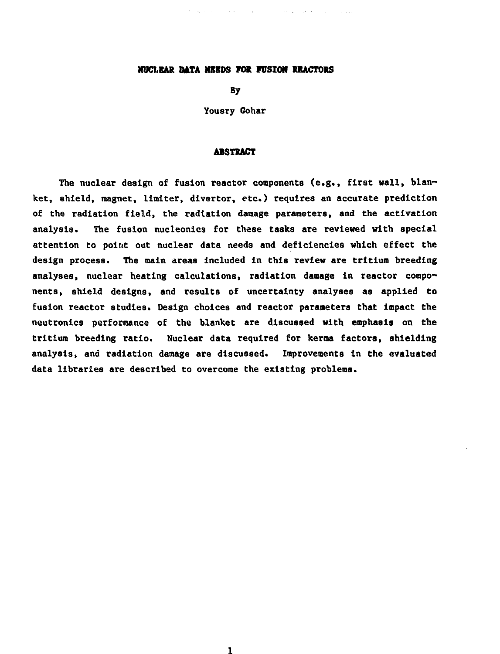#### **HUCLEAR DATA NEEDS FOR FUSION REACTORS**

By

Yousry Gohar

#### **ABSTRACT**

The nuclear design of fusion reactor components (e.g., first wall, blanket, shield, magnet, limiter, divertor, etc.) requires an accurate prediction of the radiation field, the radiation damage parameters, and the activation analysis. The fusion nucleonics for these tasks are reviewed with special attention to point out nuclear data needs and deficiencies which effect the design process. The main areas included in this review are tritium breeding analyses, nuclear heating calculations, radiation damage in reactor components, shield designs, and results of uncertainty analyses as applied to fusion reactor studies. Design choices and reactor parameters that impact the neutronics performance of the blanket are discussed with emphasis on the tritium breeding ratio. Nuclear data required for kerma factors, shielding analysis, and radiation damage are discussed. Improvements in Che evaluated data libraries are described to overcome the existing problems.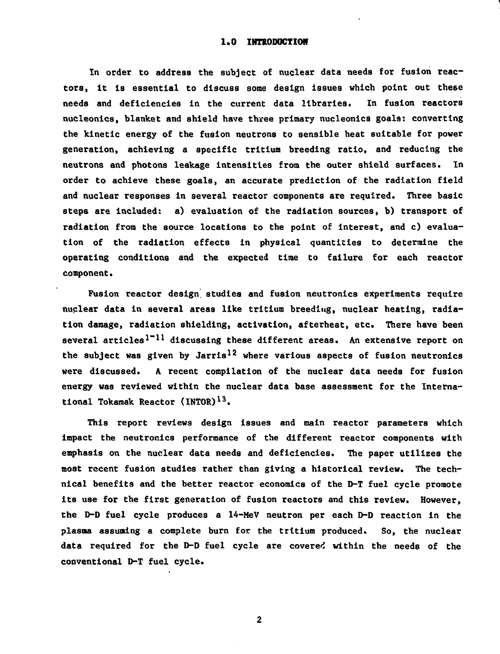#### 1.0 INTRODUCTION

**In order to address the subject of nuclear data needs for fusion reactors, it Is essential to discuss some design Issues which point out these needs and deficiencies in the current data libraries. In fusion reactors nucleonics, blanket and shield have three primary nucleonics goals: converting the kinetic energy of the fusion neutrons to sensible heat suitable for power generation, achieving a specific tritium breeding ratio, and reducing the neutrons and photons leakage intensities from the outer shield surfaces. In order to achieve these goals, an accurate prediction of the radiation field and nuclear responses in several reactor components are required. Three basic steps are included: a) evaluation of the radiation sources, b) transport of radiation from the source locations to the point of interest, and c) evaluation of the radiation effects in physical quantities to determine the operating conditions and the expected time to failure for each reactor component.**

**Fusion reactor design, studies and fusion neutronics experiments require nuclear data in several areas like tritium breeding, nuclear heating, radiation damage, radiation shielding, activation, afterheat, etc. There have been several articles<sup>1</sup>\*"<sup>11</sup> discussing these different areas. An extensive report on the subject was given by Jarris<sup>12</sup> where various aspects of fusion neutronics were discussed. A recent compilation of the nuclear data needs for fusion energy was reviewed within the nuclear data base assessment for the International Tokamak Reactor (INTOR)1 3.**

**This report reviews design issues and main reactor parameters which impact the neutronics performance of the different reactor components with emphasis on the nuclear data needs and deficiencies. The paper utilizes the most recent fusion studies rather than giving a historical review. The technical benefits and the better reactor economics of the D-T fuel cycle promote its use for the first generation of fusion reactors and this review. However, the D-D fuel cycle produces a 14-MeV neutron per each D-D reaction in the plasma assuming a complete burn for the tritium produced. So, the nuclear data required for the D-D fuel cycle are covered within the needs of the conventional D-T fuel cycle.**

 $\overline{\mathbf{2}}$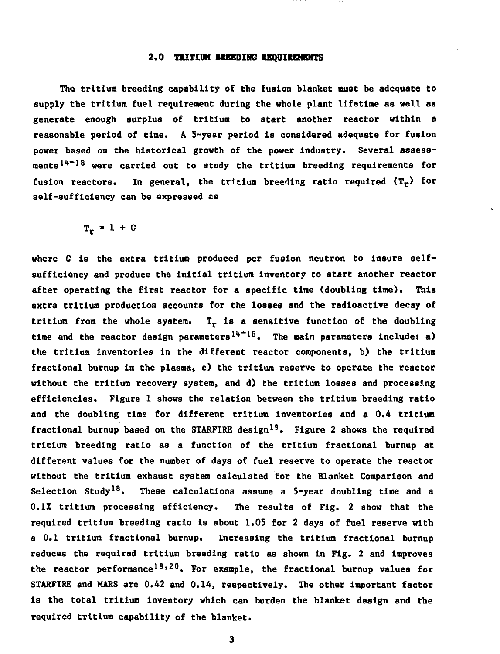### **2.0 TRITIUM BREEDING REQUIREMENTS**

The tritium breeding capability of the fusion blanket must be adequate to supply the tritium fuel requirement during the whole plant lifetime as well as generate enough surplus of tritium to start another reactor within a reasonable period of time. A 5-year period is considered adequate for fusion power based on the historical growth of the power industry. Several assessments<sup>14-18</sup> were carried out to study the tritium breeding requirements for fusion reactors. In general, the tritium breeding ratio required  $(T_r)$  for self-sufficiency can be expressed as

 $T_r = 1 + G$ 

where G is the extra tritium produced per fusion neutron to insure selfsufficiency and produce the initial tritium inventory to start another reactor after operating the first reactor for a specific time (doubling time). This extra tritium production accounts for the losses and the radioactive decay of tritium from the whole system.  $T<sub>r</sub>$  is a sensitive function of the doubling time and the reactor design parameters<sup>14-18</sup>. The main parameters include: a) the tritium inventories in the different reactor components, b) the tritium fractional burnup in the plasma, c) the tritium reserve to operate the reactor without the tritium recovery system, and d) the tritium losses and processing efficiencies. Figure 1 shows the relation between the tritium breeding ratio and the doubling time for different tritium inventories and a 0.4 tritium fractional burnup based on the STARFIRE design<sup>19</sup>. Figure 2 shows the required tritium breeding ratio as a function of the tritium fractional burnup at different values for the number of days of fuel reserve to operate the reactor without the tritium exhaust system calculated for the Blanket Comparison and Selection Study<sup>18</sup>. These calculations assume a 5-year doubling time and a 0.1Z tritium processing efficiency. The results of Fig. 2 show that the required tritium breeding ratio is about 1.0S for 2 days of fuel reserve with a 0.1 tritium fractional burnup. Increasing the tritium fractional burnup reduces the required tritium breeding ratio as shown in Fig. 2 and improves the reactor performance<sup>19,20</sup>. For example, the fractional burnup values for STARFIRE and MARS are 0.42 and 0.14, respectively. The other important factor is the total tritium inventory which can burden the blanket design and the required tritium capability of the blanket.

 $\mathbf{3}$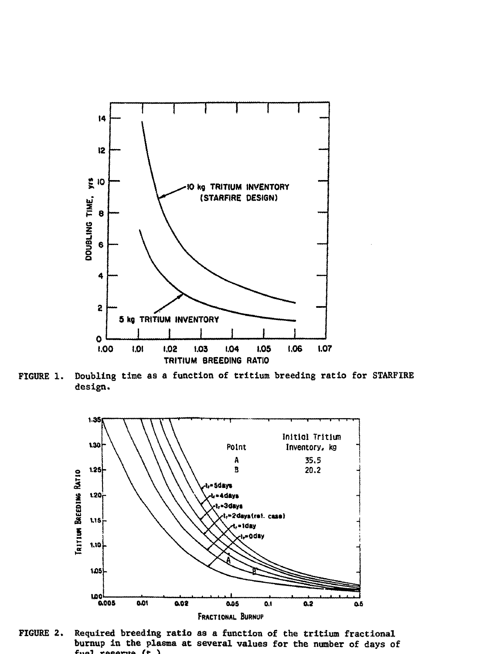

FIGURE 1. Doubling time as a function of tritium breeding ratio for STARFIRE **design.**



**FIGURE 2. Required breeding ratio as a function of the tritium fractional burnup in the plasma at several values for the number of days of**  $f$ <sub>n</sub> $f$  reports  $f$   $\uparrow$   $\downarrow$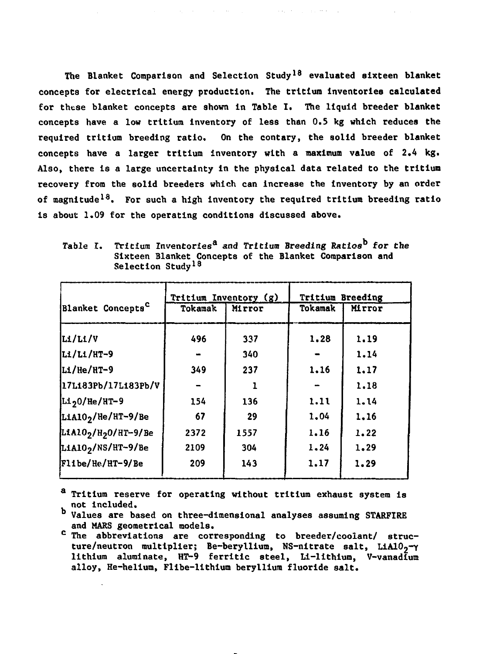**The Blanket Comparison and Selection Study<sup>18</sup> evaluated sixteen blanket concepts for electrical energy production. The tritium inventories calculated for these blanket concepts are shown in Table I. The liquid breeder blanket concepts have a low tritium inventory of less than 0.5 kg which reduces the required tritium breeding ratio. On the contary, the solid breeder blanket concepts have a larger tritium inventory with a maximum value of 2.4 kg. Also, there is a large uncertainty in the physical data related to the tritium recovery from the solid breeders which can increase the inventory by an order of magnitude<sup>18</sup>. For such a high inventory the required tritium breeding ratio is about 1.09 for the operating conditions discussed above.**

|                                              |         | Tritium Inventory (g) | <b>Tritium Breeding</b> |        |
|----------------------------------------------|---------|-----------------------|-------------------------|--------|
| Blanket Concepts <sup>C</sup>                | Tokamak | Mirror                | Tokamak                 | Mirror |
| Li/Li/V                                      | 496     | 337                   | 1.28                    | 1.19   |
| Li/Li/HT-9                                   |         | 340                   |                         | 1.14   |
| Li/He/HT-9                                   | 349     | 237                   | 1.16                    | 1.17   |
| 17L183Pb/17L183Pb/V                          |         |                       |                         | 1.18   |
| Li <sub>2</sub> 0/He/HT-9                    | 154     | 136                   | 1.11                    | 1.14   |
| LiAlO <sub>2</sub> /He/HT-9/Be               | 67      | 29                    | 1.04                    | 1.16   |
| LiAlO <sub>2</sub> /H <sub>2</sub> O/HT-9/Be | 2372    | 1557                  | 1.16                    | 1.22   |
| LiA10 <sub>2</sub> /NS/HT-9/Be               | 2109    | 304                   | 1.24                    | 1.29   |
| Flibe/He/HT-9/Be                             | 209     | 143                   | 1.17                    | 1.29   |

**Table I. Tritium Inventories<sup>8</sup> and Tritium Breeding Ratios for Che Sixteen Blanket Concepts of the Blanket Comparison and Selection Study<sup>18</sup>**

**<sup>a</sup> Tritium reserve for operating without tritium exhaust system is not included.**

**Values are based on three-dimensional analyses assuming STARFIRE and MARS geometrical models.**

**<sup>c</sup> The abbreviations are corresponding to breeder/coolant/ structure/neutron multiplier; Be-beryllium, NS-nitrate salt, LiA102~Y lithium aluminate, HT-9 ferritic steel, Li-lithium, V-vanadium alloy, He-helium, Flibe-lithium beryllium fluoride salt.**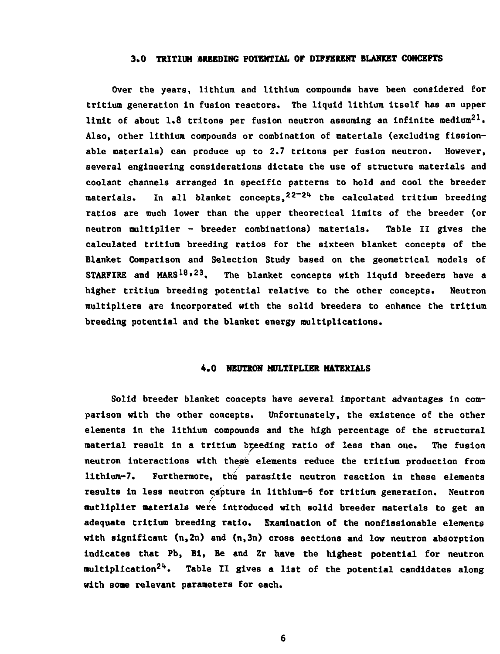#### **3.0 TRITIUM BREEDING POTENTIAL OF DIFFERENT BLANKET CONCEPTS**

Over the years, lithium and lithium compounds have been considered for tritium generation in fusion reactors. The liquid lithium itself has an upper limit of about 1.8 tritons per fusion neutron assuming an infinite medium<sup>21</sup>. Also, other lithium compounds or combination of materials (excluding fissionable materials) can produce up to 2.7 tritons per fusion neutron. However, several engineering considerations dictate the use of structure materials and coolant channels arranged in specific patterns to hold and cool the breeder materials. In all blanket concepts,<sup>22-24</sup> the calculated tritium breeding ratios are much lower than the upper theoretical limits of the breeder (or neutron multiplier - breeder combinations) materials. Table II gives the calculated tritium breeding ratios for the sixteen blanket concepts of the Blanket Comparison and Selection Study based on the geometrical models of STARFIRE and MARS<sup>18,23</sup>. The blanket concepts with liquid breeders have a higher tritium breeding potential relative to the other concepts. Neutron multipliers are incorporated with the solid breeders to enhance the tritium breeding potential and the blanket energy multiplications.

#### **4.0 NEUTRON MULTIPLIER MATERIALS**

Solid breeder blanket concepts have several important advantages in comparison with the other concepts. Unfortunately, the existence of the other elements in the lithium compounds and the high percentage of the structural material result in a tritium breeding ratio of less than one. The fusion neutron interactions with these elements reduce the tritium production from lithlum-7. Furthermore, the parasitic neutron reaction in these elements results in less neutron capture in lithium-6 for tritium generation. Neutron nutliplier aaterials were introduced with solid breeder materials to get an adequate tritium breeding ratio. Examination of the nonfissionable elements with significant  $(n, 2n)$  and  $(n, 3n)$  cross sections and low neutron absorption indicates that Pb, Bi, Be and Zr have the highest potential for neutron multiplication<sup>24</sup>. Table II gives a list of the potential candidates along with some relevant parameters for each.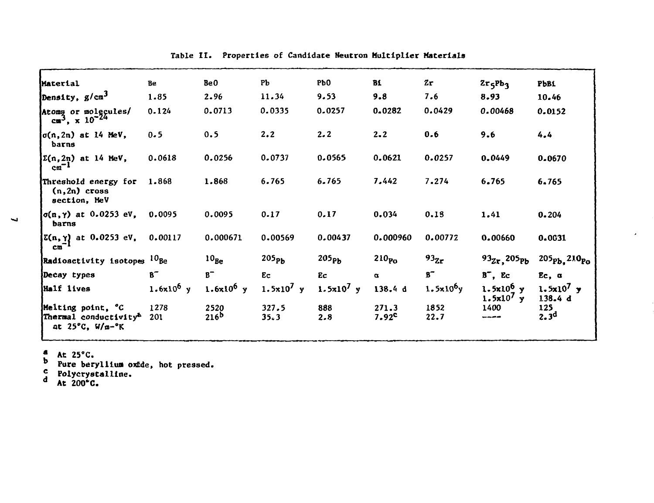| Material                                                                                     | Be                    | BeO                      | PЪ                  | Pb <sub>0</sub>   | B1                         | 2r               | $2r_5Pb_3$                    | <b>PbB1</b>                           |
|----------------------------------------------------------------------------------------------|-----------------------|--------------------------|---------------------|-------------------|----------------------------|------------------|-------------------------------|---------------------------------------|
| Density, $g/cm^3$                                                                            | 1.85                  | 2.96                     | 11.34               | 9.53              | 9.8                        | 7.6              | 8.93                          | 10.46                                 |
| Atomy or molgcules/<br>$cm3$ , x 10 <sup>-24</sup>                                           | 0.124                 | 0.0713                   | 0.0335              | 0.0257            | 0.0282                     | 0.0429           | 0.00468                       | 0.0152                                |
| $\sigma(n, 2n)$ at 14 MeV,<br>barns                                                          | 0.5                   | 0.5                      | 2.2                 | 2.2               | $2 - 2$                    | 0.6              | 9.6                           | 4.4                                   |
| $\Sigma(n, 2n)$ at 14 MeV,<br>$cm^{-1}$                                                      | 0.0618                | 0.0256                   | 0.0737              | 0.0565            | 0.0621                     | 0.0257           | 0.0449                        | 0.0670                                |
| Threshold energy for 1.868<br>$(n, 2n)$ cross<br>section, MeV                                |                       | 1.868                    | 6.765               | 6.765             | 7.442                      | 7.274            | 6.765                         | 6.765                                 |
| $\sigma(n,\gamma)$ at 0.0253 eV,<br>barns                                                    | 0.0095                | 0.0095                   | 0.17                | 0.17              | 0.034                      | 0.13             | 1.41                          | 0.204                                 |
| $\sum(n, \gamma)$ at 0.0253 eV,<br>$cm^{-1}$                                                 | 0.00117               | 0.000671                 | 0.00569             | 0.00437           | 0.000960                   | 0.00772          | 0.00660                       | 0.0631                                |
| Radioactivity isotopes <sup>10</sup> Be                                                      |                       | $10_{Be}$                | 205 <sub>ph</sub>   | 205 <sub>Pb</sub> | 210 <sub>PQ</sub>          | 93 <sub>2r</sub> | $93_{Zr}$ , 205 $p_b$         | 205 <sub>Pb</sub> , 210 <sub>Po</sub> |
| Decay types                                                                                  | $B^-$                 | $B^-$                    | Ec                  | Ec                | $\alpha$                   | $B^-$            | $B^-$ , Ec                    | $Ec, \alpha$                          |
| Half lives                                                                                   | 1.6x10 <sup>6</sup> y | 1.6 $x10^6$ y            | $1.5 \times 10^7$ y | 1.5 $x10^7$ y     | 138.4 d                    | $1.5x10^6y$      | $1.5x10^{6}$ y<br>$1.5x10'$ y | 1.5x10 <sup>7</sup> y<br>138.4 d      |
| Melting point, °C<br>Thermal conductivity <sup>b</sup><br>at $25^{\circ}$ C, $W/m-^{\circ}K$ | 1278<br>201           | 2520<br>216 <sup>b</sup> | 327.5<br>35.3       | 888<br>2.8        | 271.3<br>7.92 <sup>c</sup> | 1852<br>22.7     | 1400<br>-----                 | 125<br>2.3 <sup>d</sup>               |
|                                                                                              |                       |                          |                     |                   |                            |                  |                               |                                       |

 $\epsilon$ 

Table II. Properties of Candidate **Neutron Multiplier Materials**

**• At 25°C.**

<sup>D</sup> Pure beryllium oxEde, hot pressed.

**<j Polycrystalline. d At 200\*0.**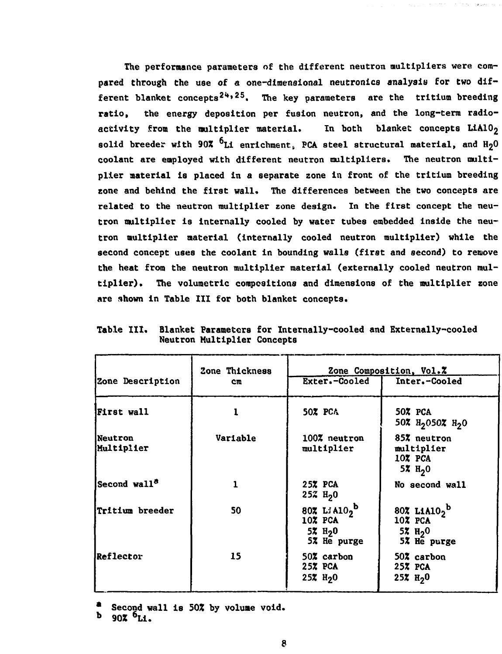**The performance parameters of the different neutron multipliers were compared through the use of a one-dimensional neutronics analysis for two different blanket concepts 2<\*'2S. The key parameters are the tritium breeding ratio, the energy deposition per fusion neutron, and the long-term radioactivity from the multiplier material. In both blanket concepts LiA10<sup>2</sup> solid breeder with 90% Li enrichment; PCA steel structural material, and H2O coolant are employed with different neutron multipliers. The neutron multiplier material is placed in a separate zone in front of the tritium breeding zone and behind the first wall. The differences between the two concepts are related to the neutron multiplier zone design. In the first concept the neutron multiplier is internally cooled by water tubes embedded inside the neutron multiplier material (internally cooled neutron multiplier) while the second concept uses the coolant in bounding walls (first and second) to remove the heat from the neutron multiplier material (externally cooled neutron multiplier). The volumetric compositions and dimensions of the multiplier zone are shown in Table III for both blanket concepts.**

|                              | Zone Thickness |                                                         | Zone Composition, Vol. Z                                                                 |
|------------------------------|----------------|---------------------------------------------------------|------------------------------------------------------------------------------------------|
| Zone Description             | cп             | <b>Exter.-Cooled</b>                                    | Inter.-Cooled                                                                            |
| First wall                   |                | 50% PCA                                                 | $50\%$ PCA<br>50% $H_2$ 050% $H_2$ 0                                                     |
| <b>Neutron</b><br>Multiplier | Variable       | 100% neutron<br>multiplier                              | 85% neutron<br>multiplier<br>10% PCA<br>5% $H_2$ 0                                       |
| Second wall <sup>a</sup>     | 1              | 25% PCA<br>$25\%$ H <sub>2</sub> 0                      | No second wall                                                                           |
| <b>Tritium</b> breeder       | 50             | 807 Li $A10_2^b$<br>10% PCA<br>$52 H_20$<br>5% He purge | 80% LiA10 <sub>2</sub> <sup>b</sup><br>$10X$ PCA<br>5% $H_2$ <sup>0</sup><br>5% He purge |
| <b>JReflector</b>            | 15             | 50% carbon<br>25% PCA<br>$25\%$ H <sub>2</sub> 0        | 50% carbon<br>25% PCA<br>25% $H_2$ <sup>0</sup>                                          |

**Table III. Blanket Parameters for Internally-cooled and Externally-cooled Neutron Multiplier Concepts**

Second wall is 50% by volume void.

**<sup>b</sup> 902 <sup>6</sup>Li.**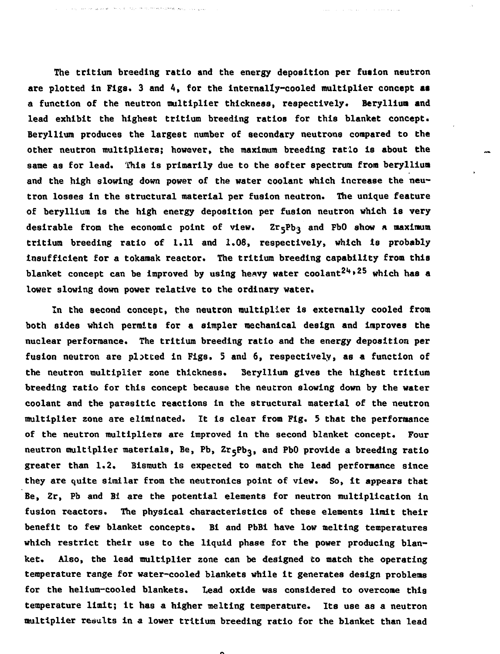**The tritium breeding ratio and the energy deposition per fusion neutron are plotted in Figs. 3 and 4, for the internally-cooled multiplier concept as a function of the neutron multiplier thickness, respectively. Beryllium and lead exhibit the highest tritium breeding ratios for this blanket concept. Beryllium produces the largest number of secondary neutrons compared to the other neutron multipliers; however, the maximum breeding ratio is about the same as for lead. This is primarily due to the softer spectrum from beryllium and the high slowing down power of the water coolant which increase the neutron losses in the structural material per fusion neutron. The unique feature of beryllium is the high energy deposition per fusion neutron which is very desirable from the economic point of view. Zr5Pb3 and FbO show a maximum tritium breeding ratio of 1.11 and 1.08, respectively, which is probably insufficient for a tokamak reactor. The tritium breeding capability from this blanket concept can be improved by using heavy water coolant<sup>214</sup>\* <sup>25</sup> which has a lower slowing down power relative to the ordinary water.**

**In the second concept, the neutron multiplier is externally cooled from both sides which permits for a simpler mechanical design and improves the nuclear performance. The tritium breeding ratio and the energy deposition per fusion neutron are plotted in Figs. 5 and 6, respectively, as a function of the neutron multiplier zone thickness. 3eryllium gives the highest tritium breeding ratio for this concept because the neutron slowing down by the water coolant and the parasitic reactions in the structural material of the neutron multiplier zone are eliminated. It is clear from Fig. 5 that the performance of the neutron multipliers are improved in the second blanket concept. Four neutron multiplier materials, Be, Pb, Zr^Pb3, an(\* PD^ provide a breeding ratio greater than 1.2. Bismuth is expected to match the lead performance since they are quite similar from the neutronics point of view. So, it appears that Be, Zr, Pb and Bi are the potential elements for neutron multiplication in fusion reactors. The physical characteristics of these elements limit their benefit to few blanket concepts. Bi and PbBl have low melting temperatures which restrict their use to the liquid phase for the power producing blanket. Also, the lead multiplier zone can be designed to match the operating temperature range for water-cooled blankets while it generates design problems for the helium-cooled blankets. lead oxide was considered to overcome this temperature limit; It has a higher melting temperature. Its use as a neutron multiplier results in a lower tritium breeding ratio for the blanket than lead**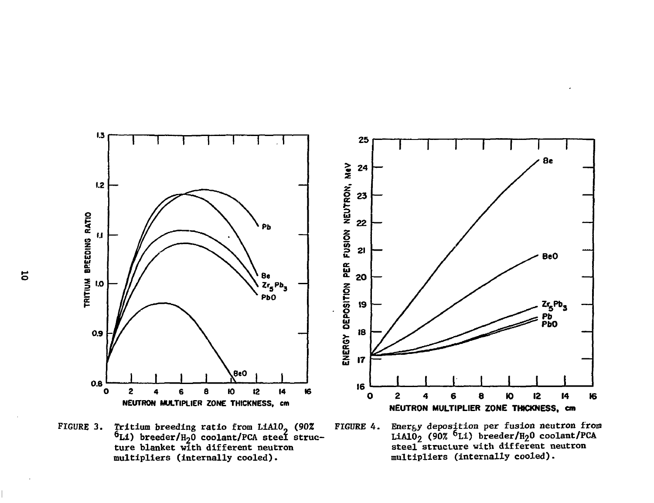

FIGURE 3. Tritium breeding ratio from L1A10 (90% FIGURE 4. Energy deposition per fusion neutron from  $^{6}$ Li) breeder/H<sub>2</sub>0 coolant/PCA steel struc- LiAlO<sub>2</sub> (90%) multipliers (internally cooled). multipliers (internally cooled).

 $6Li$ ) breeder/H<sub>2</sub>0 coolant/PCA ture blanket with different neutron steel structure with different neutron

 $\overline{5}$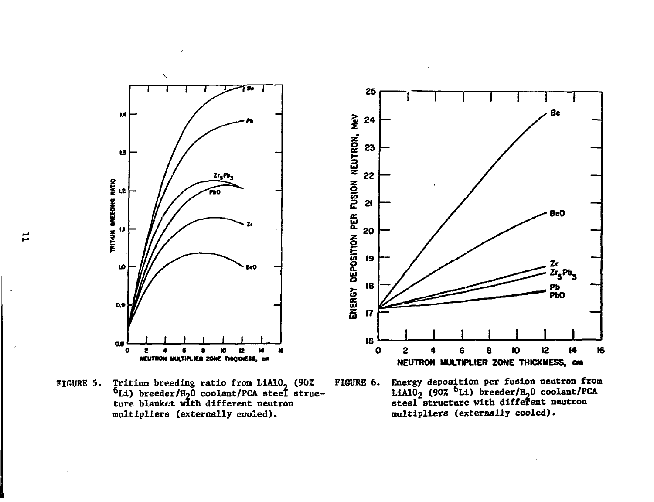

FIGURE 5. Tritium breeding ratio from LiAlO- (90Z FIGURE 6. Energy deposition per fusion neutron from  $^{6}$ Li) breeder/H<sub>2</sub>O coolant/PCA steel struc- LiA1O<sub>2</sub> (90%) multipliers (externally cooled). multipliers (externally cooled).

Energy deposition per fusion neutron from<br>LiAlO<sub>2</sub> (90% <sup>6</sup>Li) breeder/H<sub>2</sub>O coolant/PCA<br>steel structure with different neutron ture blanket with different neutron steel structure with different neutron

Ξ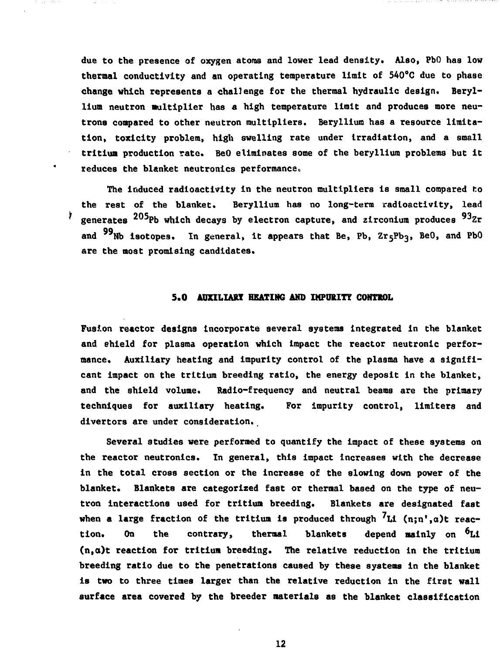due to the presence of oxygen atoms and lower lead density. Also, PbO has low thermal conductivity and an operating temperature limit of 540°C due to phase change which represents a challenge for the thermal hydraulic design. Beryllium neutron multiplier has a high temperature limit and produces more neutrons compared to other neutron multipliers. Beryllium has a resource limitation, toxicity problem, high swelling rate under irradiation, and a small tritium production rate. BeO eliminates some of the beryllium problems but it reduces the blanket neutronics performance.

The induced radioactivity in the neutron multipliers is small compared to the rest of the blanket. Beryllium has no long-term radioactivity, lead ¥. generates  $^{205}$ Pb which decays by electron capture, and zirconium produces  $^{93}$ Zr and  $99$ Nb isotopes. In general, it appears that Be, Pb, Zr $_5$ Pb<sub>3</sub>, BeO, and PbO are the most promising candidates.

### **5.0 AUXILIARY HEATING AMD IMPURITY** CONTROL

Fusion reactor designs incorporate several systems integrated in the blanket and shield for plasma operation which impact the reactor neutronlc performance. Auxiliary heating and impurity control of the plasma have a significant impact on the tritium breeding ratio, the energy deposit in the blanket, and the shield volume. Radio-frequency and neutral beams are the primary techniques for auxiliary heating. For impurity control, limiters and divertors are under consideration.

Several studies were performed to quantify the impact of these systems on the reactor neutronics. In general, this impact increases with the decrease in the total cross section or the increase of the slowing down power of the blanket. Blankets are categorized fast or thermal based on the type of neutron interactions used for tritium breeding. Blankets are designated fast when a large fraction of the tritium is produced through  $7<sub>Li</sub>$  (n;n',a)t reaction. On the contrary, thermal blankets depend mainly on <sup>6</sup>Li (n,o)t reaction for tritium breeding. The relative reduction In the tritium breeding ratio due to the penetrations caused by these systems in the blanket is two to three times larger than the relative reduction in the first wall surface area covered by the breeder materials as the blanket classification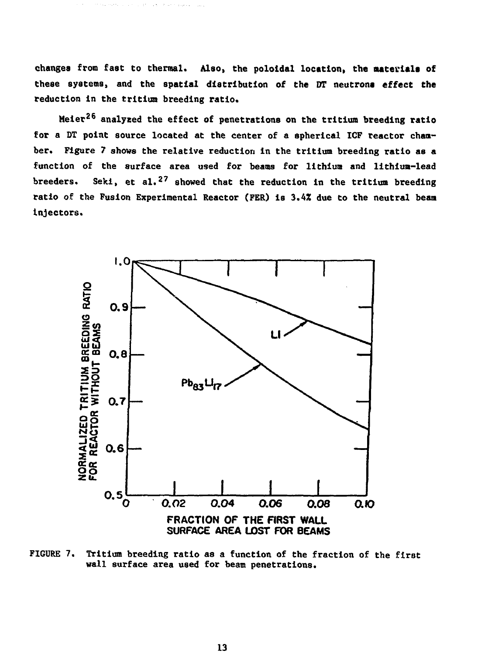**changes from fast to thermal. Also, the poloidal location, the materials of these systems, and the spatial distribution of the DT neutrons effect the reduction in the tritium breeding ratio.**

**Meier<sup>26</sup> analysed the effect of penetrations on the tritium breeding ratio for a DT point source located at the center of a spherical ICF reactor chamber. Figure 7 shows the relative reduction in the tritium breeding ratio as a function of the surface area used for beams for lithium and lithium-lead breeders. Seki, et al.<sup>2</sup> <sup>7</sup> showed that the reduction in the tritium breeding ratio of the Fusion Experimental Reactor (FER) is 3.4% due to the neutral beam Injectors.**



**FIGURE 7. Tritium breeding ratio as a function of the fraction of the firot wall surface area used for beam penetrations.**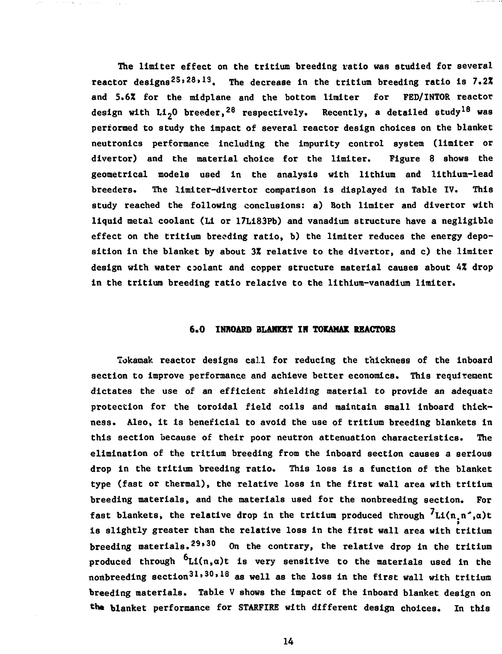The limiter effect on the tritium breeding ratio was studied for several reactor designs<sup>25,28,19</sup>. The decrease in the tritium breeding ratio is  $7.2\%$ and 5.6% for the midplane and the bottom limiter for FED/INTOR reactor design with Li<sub>2</sub>0 breeder,<sup>28</sup> respectively. Recently, a detailed study<sup>18</sup> was performed to study the impact of several reactor design choices on the blanket neutronics performance including the impurity control system (limiter or divertor) and the material choice for the limiter. Figure 8 shows the geometrical models used in the analysis with lithium and lithium-lead breeders. The limiter-dlvertor comparison is displayed in Table IV. This study reached the following conclusions: a) Both limiter and divertor with liquid metal coolant (Li or 17Li83Pb) and vanadium structure have a negligible effect on the tritium breeding ratio, b) the limiter reduces the energy deposition in the blanket by about 3Z relative to the divertor, and c) the limiter design with water coolant and copper structure material causes about 4% drop in the tritium breeding ratio relative to the lithium-vanadium limiter.

#### **6.0 INBOARD BLANKET IK TOKAMAK REACTORS**

Tokamak reactor designs call for reducing the thickness of the Inboard section to improve performance and achieve better economics. This requirement dictates the use of an efficient shielding material to provide an adequata protection for the toroidal field coils and maintain small inboard thickness. Also, it is beneficial to avoid the use of tritium breeding blankets in this section because of their poor neutron attenuation characteristics. The elimination of the tritium breeding from the inboard section causes a serious drop in the tritium breeding ratio. This loss is a function of the blanket type (fast or thermal), the relative loss in the first wall area with tritium breeding materials, and the materials used for the nonbreeding section. For fast blankets, the relative drop in the tritium produced through  $^7$ Li(n n<sup>2</sup>.a)t is slightly greater than the relative loss in the first wall area with tritium breeding materials.<sup>29,30</sup> On the contrary, the relative drop in the tritium produced through  $6_{\text{Li}}(n,a)$ t is very sensitive to the materials used in the nonbreeding section $^{31,30,18}$  as well as the loss in the first wall with tritium breeding materials. Table V shows the impact of the inboard blanket design on the blanket performance for STARFIRE with different design choices. In this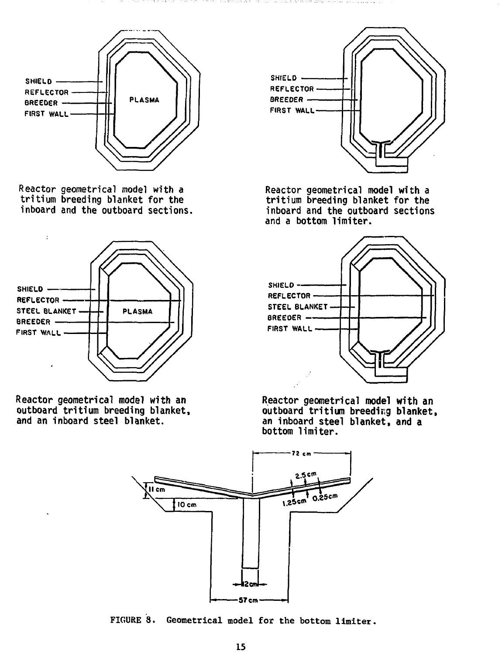



**Reactor geometrical model with a tritium breeding blanket for the inboard and the outboard sections.**



**Reactor geometrical model with an outboard tritium breeding blanket, and an inboard steel blanket.**



**Reactor geometrical model with a tritium breeding blanket for the inboard and the outboard sections and a bottom limiter.**



**Reactor geometrical model with an outboard tritium breeding blanket, an inboard steel blanket, and a bottom limiter.**



**FIGURE 8. Geometrical model for the bottom limiter.**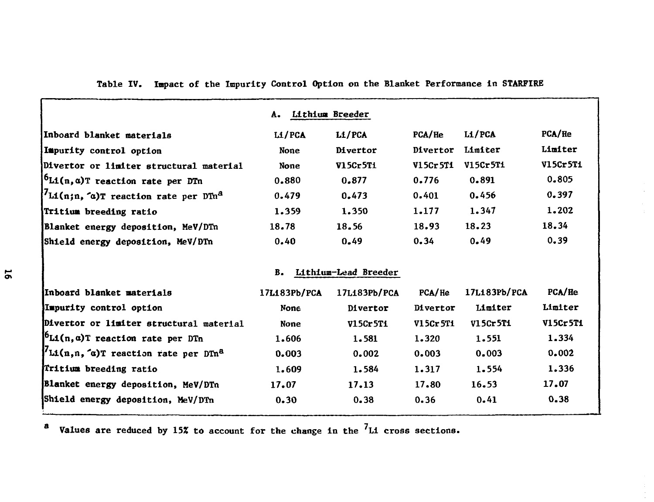| А.           |                 |                                         |              |          |
|--------------|-----------------|-----------------------------------------|--------------|----------|
| LI/PCA       | L1/PCA          | PCA/He                                  | Li/PCA       | PCA/He   |
| <b>None</b>  | <b>Divertor</b> | Divertor                                | Limiter      | Limiter  |
| None         | V15Cr5Ti        | V15Cr5T1                                | V15Cr5Ti     | V15Cr5T1 |
| 0.880        | 0.877           | 0.776                                   | 0.891        | 0.805    |
| 0.479        | 0.473           | 0.401                                   | 0.456        | 0.397    |
| 1.359        | 1.350           | 1.177                                   | 1.347        | 1.202    |
| 18.78        | 18.56           | 18.93                                   | 18.23        | 18.34    |
| 0.40         | 0.49            | 0.34                                    | 0.49         | 0.39     |
|              |                 |                                         |              |          |
|              |                 |                                         |              |          |
| 17L183Pb/PCA | 17L183Pb/PCA    | PCA/He                                  | 17L183Pb/PCA | PCA/He   |
| None         | <b>Divertor</b> | Divertor                                | Limiter      | Limiter  |
| None         | V15Cr5Ti        | V15Cr5Ti                                | V15Cr5Ti     | V15Cr5T1 |
| 1.606        | 1.581           | 1.320                                   | 1.551        | 1.334    |
| 0.003        | 0.002           | 0.003                                   | 0.003        | 0.002    |
| 1.609        | 1.584           | 1.317                                   | 1.554        | 1.336    |
| 17.07        | 17.13           | 17.80                                   | 16.53        | 17.07    |
| 0.30         | 0.38            | 0.36                                    | 0.41         | 0.38     |
|              | <b>B.</b>       | Lithium Breeder<br>Lithium-Lead Breeder |              |          |

**Table IV. Impact of the Impurity Control Option on the Blanket Performance in STARFIRE**

**a** Values are reduced by 15% to account for the change in the <sup>7</sup>L1 cross sections.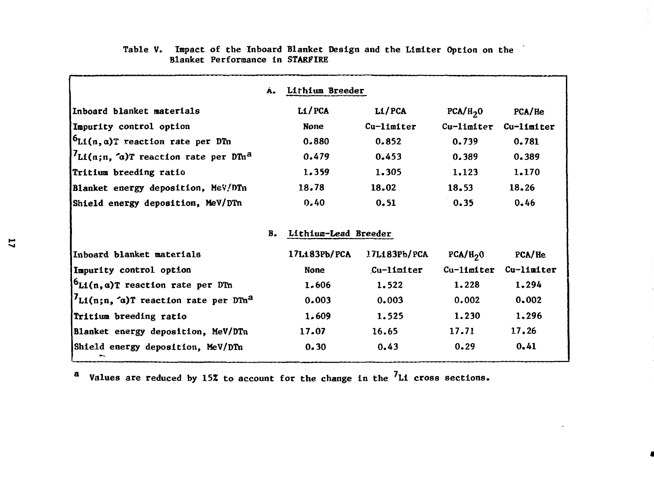|                                                            | Á. | Lithium Breeder      |                  |                      |            |
|------------------------------------------------------------|----|----------------------|------------------|----------------------|------------|
| Inboard blanket materials                                  |    | LI/PCA               | L1/PCA           | PCA/H <sub>2</sub> 0 | PCA/He     |
| Impurity control option                                    |    | <b>None</b>          | Cu-limiter       | Cu-limiter           | Cu-limiter |
| $6L1(n, \alpha)$ T reaction rate per DTn                   |    | 0.880                | 0.852            | 0.739                | 0.781      |
| $U_{\text{Li}(n;n, 6)}$ reaction rate per DTn <sup>a</sup> |    | 0.479                | 0.453            | 0.389                | 0.389      |
| Tritium breeding ratio                                     |    | 1.359                | 1,305            | 1.123                | 1.170      |
| Blanket energy deposition, MeV/DTn                         |    | 18.78                | 18.02            | 18.53                | 18.26      |
| Shield energy deposition, MeV/DTn                          |    | 0.40                 | 0.51             | 0.35                 | 0.46       |
|                                                            | в. | Lithium-Lead Breeder |                  |                      |            |
| Inboard blanket materials                                  |    | 17L183Pb/PCA         | 17L183Pb/PCA     | PCA/H <sub>2</sub> 0 | PCA/He     |
| Impurity control option                                    |    | <b>None</b>          | $Cu-11$ $n1$ ter | Cu-limiter           | Cu-limiter |
| $b_{\text{Li}}(n, a)$ T reaction rate per DTn              |    | 1.606                | 1.522            | 1.228                | 1.294      |
| $L_1(n;n, \alpha)$ T reaction rate per DTn <sup>a</sup>    |    | 0.003                | 0.003            | 0.002                | 0.002      |
| Tritium breeding ratio                                     |    | 1.609                | 1.525            | 1.230                | 1,296      |
| Blanket energy deposition, MeV/DTn                         |    | 17.07                | 16.65            | 17.71                | 17.26      |
| Shield energy deposition, MeV/DTn                          |    | 0.30                 | 0.43             | 0.29                 | 0.41       |

# Table V. Impact of the Inboard Blanket Design and the Limiter Option on the **Blanket Performance in STARFIRE**

**a** Values are reduced by 15% to account for the change in the <sup>7</sup>Li cross sections.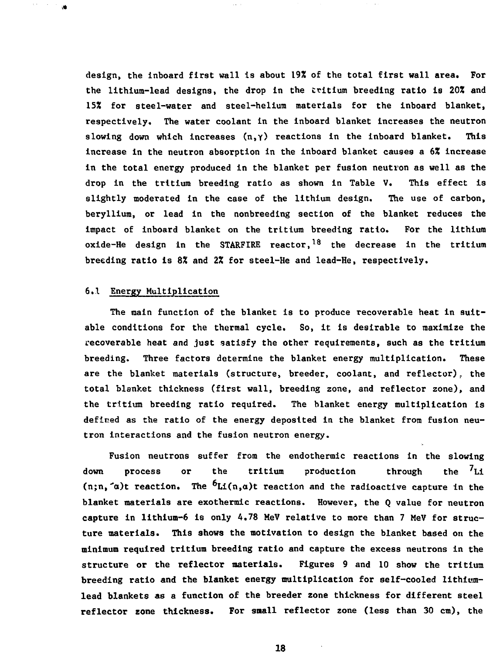**design, the inboard first wall is about 19% of the total first wall area. For the lithium-lead designs, the drop in the tritium breeding ratio is 20% and 15% for steel-water and steel-helium materials for the inboard blanket, respectively. The water coolant in the inboard blanket increases the neutron slowing down which increases (n,y) reactions in the Inboard blanket. This increase in the neutron absorption in the inboard blanket causes a 6% increase in the total energy produced in the blanket per fusion neutron as well as the drop In the tritium breeding ratio as shown in Table V. This effect Is slightly moderated in the case of the lithium design. The use of carbon, beryllium, or lead in the nonbreeding section of the blanket reduces the impact of inboard blanket on the tritium breeding ratio. For the lithium oxide-He design In the STARFIRE reactor,<sup>18</sup> the decrease in the tritium breeding ratio is 8% and 2% for steel-He and lead-He, respectively.**

# **6.1 Energy Multiplication**

 $\blacksquare$ 

**The main function of the blanket is to produce recoverable heat in suitable conditions for the thermal cycle. So, it is desirable to maximize the recoverable heat and just satisfy the other requirements, such as the tritium breeding. Three factors determine the blanket energy multiplication. These are the blanket materials (structure, breeder, coolant, and reflector). the total blanket thickness (first wall, breeding zone, and reflector zone), and the tritium breeding ratio required. The blanket energy multiplication is defined as the ratio of the energy deposited in the blanket from fusion neutron interactions and the fusion neutron energy.**

**Fusion neutrons suffer from the endothermic reactions in the slowing down process or the tritium production through the 'Li**  $(n;n, \alpha)$ t reaction. The  ${}^6L_i(n,\alpha)$ t reaction and the radioactive capture in the **blanket materials are exothermic reactions. However, the Q value for neutron capture in lithium-6 is only 4.78 MeV relative to more than 7 MeV for structure materials. This shows the motivation to design the blanket based on the minimum required tritium breeding ratio and capture the excess neutrons in the structure or the reflector materials. Figures 9 and 10 show the tritium breeding ratio and the blanket energy multiplication for self-cooled lithiumlead blankets as a function of the breeder zone thickness for different steel reflector zone thickness. For small reflector zone (less than 30 cm), the**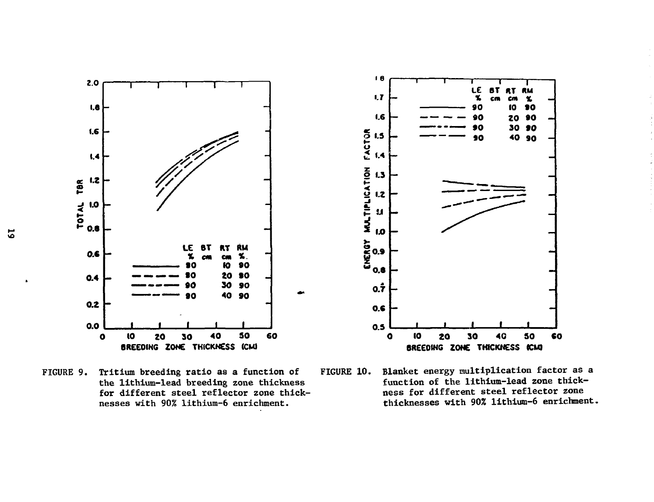

FIGURE 9. Tritium breeding ratio as a function of the lithium-lead breeding zone thickness for different steel reflector zone thicknesses with 90% lithium-6 enrichment.

FIGURE 10. Blanket energy multiplication factor as a function of the lithium-lead zone thickness for different steel reflector zone thicknesses with 90% lithium-6 enrichment.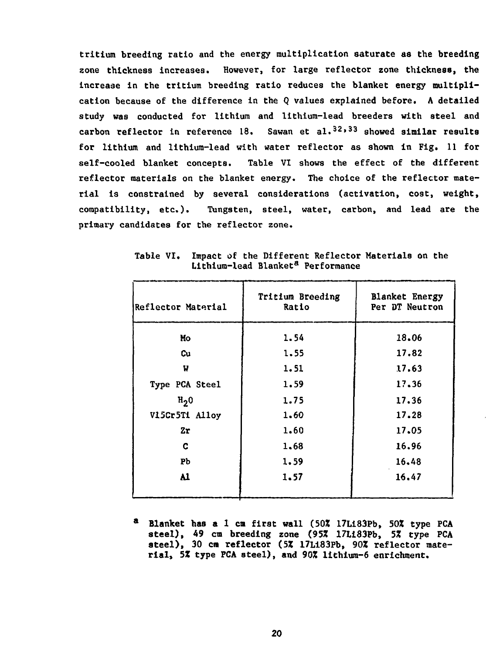**tritium breeding ratio and the energy multiplication saturate as the breeding zone thickness increases. However, for large reflector zone thickness, the increase in the tritium breeding ratio reduces the blanket energy multiplication because of the difference in the Q values explained before. A detailed study was conducted for lithium and lithium-lead breeders with steel and carbon reflector in reference 18. Sawan et al.3 2 » <sup>3</sup> <sup>3</sup> showed similar results for lithium and lithium-lead with water reflector as shown in Fig. 11 for self-cooled blanket concepts. Table VI shows the effect of the different reflector materials on the blanket energy. The choice of the reflector material is constrained by several considerations (activation, cost, weight, compatibility, etc.). Tungsten, steel, water, carbon, and lead are the primary candidates for the reflector zone.**

| Reflector Material | Tritium Breeding<br>Ratio | <b>Blanket Energy</b><br>Per DT Neutron |
|--------------------|---------------------------|-----------------------------------------|
| Mo                 | 1.54                      | 18.06                                   |
| Cu                 | 1.55                      | 17.82                                   |
| W                  | 1.51                      | 17.63                                   |
| Type PCA Steel     | 1.59                      | 17.36                                   |
| H <sub>2</sub> 0   | 1.75                      | 17.36                                   |
| V15Cr5Ti Alloy     | 1,60                      | 17.28                                   |
| 2r                 | 1.60                      | 17.05                                   |
| c                  | 1,68                      | 16.96                                   |
| Pb                 | 1.59                      | 16.48                                   |
| Al                 | 1.57                      | 16.47                                   |
|                    |                           |                                         |

**Table VI. Impact of the Different Reflector Materials on the Lithium-lead Blanket<sup>3</sup> Performance**

**<sup>a</sup> Blanket has a 1 en first wall (50\* 17Li83Pb, 502 type PCA steel), 49 cm breeding zone (95Z 17Li83Pb, 5% type PCA** steel), 30 cm reflector (5% 17L183Pb, 90% reflector mate**rial, 5Z type PCA steel), and 90Z lithium-6 enrichment.**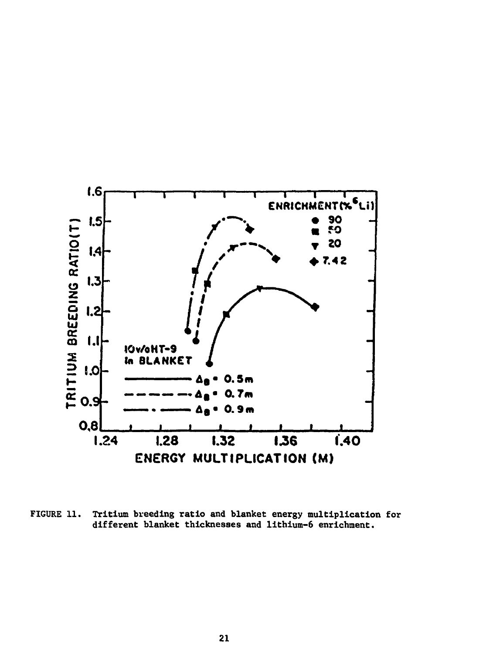

**FIGURE 11. Tritium breeding ratio and blanket energy multiplication for different blanket thicknesses and lithium-6 enrichment.**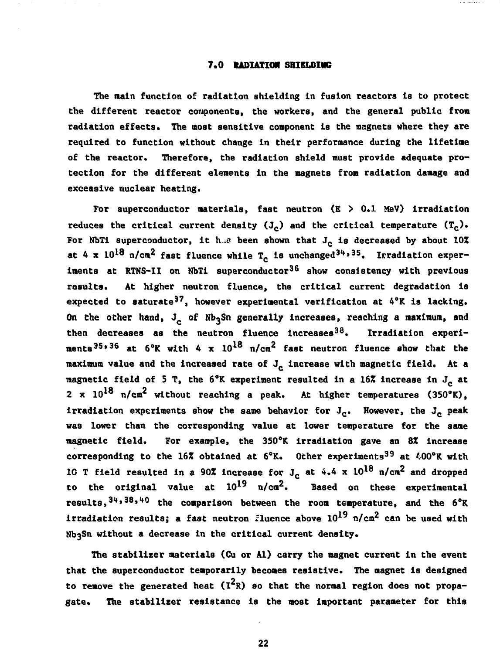#### 7.0 **tADIATHM** SHIELDING

The main function of radiation shielding in fusion reactors is to protect the different reactor components, the workers, and the general public from radiation effects. The most sensitive component is the magnets where they are required to function without change in their performance during the lifetime of the reactor. Therefore, the radiation shield must provide adequate protection for the different elements in the magnets from radiation damage and excessive nuclear heating.

For superconductor materials, fast neutron  $(E > 0.1$  MeV) irradiation reduces the critical current density  $(J_c)$  and the critical temperature  $(T_c)$ . For NbTi superconductor, it has been shown that  $J_c$  is decreased by about 10% at 4 x  $10^{18}$  n/cm<sup>2</sup> fast fluence while T<sub>c</sub> is unchanged<sup>34,35</sup>. Irradiation experiments at RTNS-II on NbTi superconductor<sup>36</sup> show consistency with previous results. At higher neutron fluence, the critical current degradation is expected to saturate<sup>37</sup>, however experimental verification at 4°K is lacking. On the other hand, J<sub>c</sub> of Nb<sub>3</sub>Sn generally increases, reaching a maximum, and then decreases as the neutron fluence increases<sup>38</sup>. Irradiation experiments<sup>35,36</sup> at 6°K with 4 x 10<sup>18</sup> n/cm<sup>2</sup> fast neutron fluence show that the maximum value and the increased rate of  $J_c$  increase with magnetic field. At a magnetic field of 5 T, the  $6^{\circ}$ K experiment resulted in a 16% increase in  $J_c$  at 2 x  $10^{18}$  n/cm<sup>2</sup> without reaching a peak. At higher temperatures (350°K), irradiation experiments show the same behavior for  $J_c$ . However, the  $J_c$  peak was lower than the corresponding value at lower temperature for the same magnetic field. For example, the 350°K irradiation gave an 8% increase corresponding to the 16% obtained at  $6^\circ$ K. Other experiments<sup>39</sup> at  $400^\circ$ K with 1G T field resulted in a 90% increase for  $J_c$  at 4.4 x 10<sup>18</sup> n/cm<sup>2</sup> and dropped to the original value at  $10^{19}$   $\pi/c\alpha^2$ . Based on these experimental results,  $34, 38, 40$  the comparison between the room temperature, and the  $6^{\circ}$ K irradiation results; a fast neutron fluence above  $10^{19}$  n/cm<sup>2</sup> can be used with without a decrease in the critical current density.

The stabilizer materials (Cu or Al) carry the magnet current in the event that the superconductor temporarily becomes resistive. The magnet is designed to remove the generated heat  $(I^2R)$  so that the normal region does not propagate. The stabiliser resistance is the most important parameter for this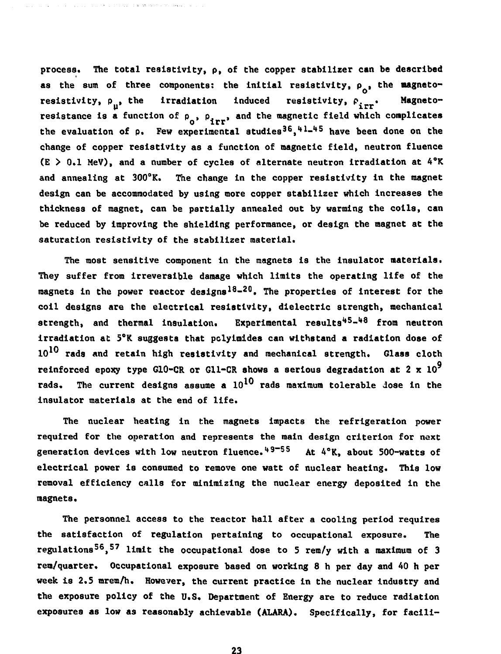**process. The total resistivity, p, of the copper stabilizer can be described** as the sum of three components: the initial resistivity,  $\rho_{\alpha}$ , the magnetoresistivity,  $\rho_{n}$ , the irradiation induced resistivity,  $\rho_{n}$ . Magnetoresistance is a function of  $p_0$ ,  $p_{\text{irr}}$ , and the magnetic field which complicates the evaluation of p. Few experimental studies<sup>36</sup>,<sup>41</sup>-<sup>45</sup> have been done on the change of copper resistivity as a function of magnetic field, neutron fluence  $(E > 0.1$  MeV), and a number of cycles of alternate neutron irradiation at  $4^\circ K$ and annealing at 300°K. The change in the copper resistivity in the magnet design can be accommodated by using more copper stabilizer which increases the thickness of magnet, can be partially annealed out by warming the coils, can be reduced by improving the shielding performance, or design the magnet at the saturation resistivity of the stabilizer material.

ski ji brojnje i bila da saberu revisevu

**The most sensitive component in the magnets is the insulator materials. They suffer from irreversible damage which limits the operating life of the magnets in the power reactor designs1 8- 2 0. The properties of interest for the coll designs are the electrical resistivity, dielectric strength, mechanical strength, and thermal insulation. Experimental results'\*<sup>5</sup>- <sup>148</sup> from neutron irradiation at 5°K suggests that pclylmides can withstand a radiation dose of 10 rads and retain high resistivity and mechanical strength. Glass cloth reinforced epoxy type G10-CR or Gll-CR shows a serious degradation at 2 x 10 rads. The current designs assume a 10 rads maximum tolerable Jose in the insulator materials at the end of life.**

**The nuclear heating in the magnets impacts the refrigeration power required for the operation and represents the main design criterion for next generation devices with low neutron fluence. \*\*<sup>9</sup>~ <sup>55</sup> At A°K, about 500-watts of electrical power is consumed to remove one watt of nuclear heating. This low removal efficiency calls for minimizing the nuclear energy deposited in the magnets.**

**The personnel access to the reactor hall after a cooling period requires the satisfaction of regulation pertaining to occupational exposure. The regulations<sup>56</sup>, <sup>57</sup> limit the occupational dose to 5 rem/y with a maximum of 3 rem/quarter. Occupational exposure based on working 8 h per day and 40 h per week is 2.5 mrem/h. However, the current practice in the nuclear industry and the exposure policy of the U.S. Department of Energy are to reduce radiation exposures as low as reasonably achievable (ALARA). Specifically, for facili-**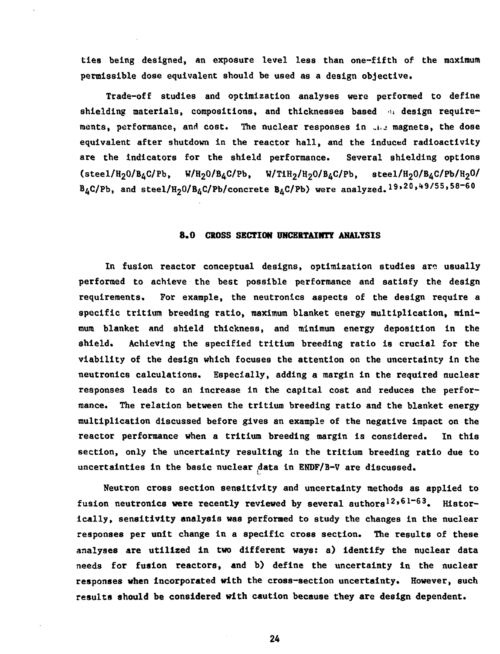**ties being designed, an exposure level less than one-fifth of the maximum permissible dose equivalent should be used as a design objective•**

**Trade-off studies and optimization analyses were performed to define** shielding materials, compositions, and thicknesses based **mades from the equirements, performance, and cost. The nuclear responses in ,I,J magnets, the dose equivalent after shutdown in the reactor hall, and the induced radioactivity are the indicators for the shield performance. Several shielding options (steel/H20/B4C/Pb, W/H20/B4C/Pb, W/TiH2/H20/B4C/Pb, steel/H20/BAC/Pb/H20/ B4C/Pb, and steel/H20/B4C/Pb/concrete B^C/Pb) were analyzed.19»20,<t9/55,58-60**

## **8.0 CROSS SECTION UNCERTAINTY ANALYSIS**

**In fusion reactor conceptual designs, optimization studies aro usually performed to achieve the best possible performance and satisfy the design requirements. For example, the neutronlcs aspects of the design require a specific tritium breeding ratio, maximum blanket energy multiplication, minimum blanket and shield thickness, and minimum energy deposition in the shield. Achieving the specified tritium breeding ratio is crucial for the viability of the design which focuses the attention on the uncertainty in the neutronics calculations. Especially, adding a margin in the required nuclear responses leads to an increase in the capital cost and reduces the performance. The relation between the tritium breeding ratio and the blanket energy multiplication discussed before gives an example of the negative impact on the reactor performance when a tritium breeding margin is considered. In this section, only the uncertainty resulting in the tritium breeding ratio due to uncertainties in the basic nuclear .data in ENDF/B-V are discussed.**

**Neutron cross section sensitivity and uncertainty methods as applied to** fusion neutronics were recently reviewed by several authors<sup>12,61-63</sup>. Histor**ically, sensitivity analysis was performed to study the changes in the nuclear responses per unit change in a specific cross section. The results of these analyses are utilized in two different ways: a) identify the nuclear data needs for fusion reactors, and b) define the uncertainty in the nuclear responses when incorporated with the cross-section uncertainty. However, such results should be considered with caution because they are design dependent.**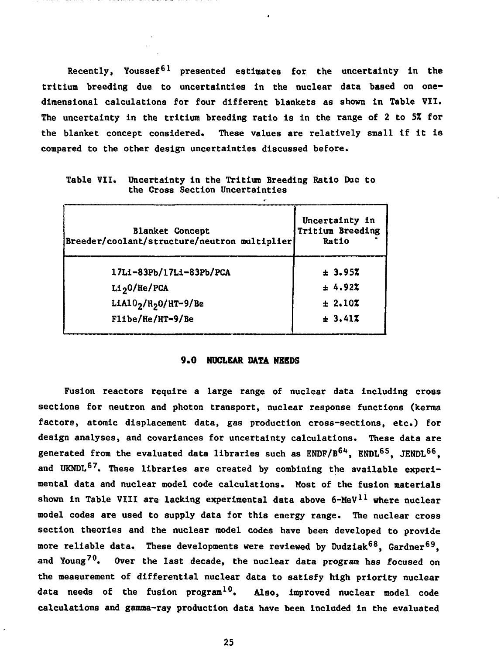**Recently, Youssef<sup>61</sup> presented estimates for the uncertainty in the tritium breeding due to uncertainties in the nuclear data based on onedimensional calculations for four different blankets as shown in Table VII. The uncertainty in the tritium breeding ratio is in the range of 2 to 5X for the blanket concept considered. These values are relatively small if it is compared to the other design uncertainties discussed before.**

|  |  |                                 | Table VII. Uncertainty in the Tritium Breeding Ratio Due to |  |  |
|--|--|---------------------------------|-------------------------------------------------------------|--|--|
|  |  | the Cross Section Uncertainties |                                                             |  |  |

| <b>Blanket Concept</b><br>Breeder/coolant/structure/neutron multiplier | Uncertainty in<br>Tritium Breeding<br>Ratio |
|------------------------------------------------------------------------|---------------------------------------------|
| 17Li-83Pb/17Li-83Pb/PCA                                                | ± 3.95%                                     |
| $Li_2$ 0/He/PCA                                                        | ± 4.92%                                     |
| LiA $10_2$ /H <sub>2</sub> O/HT-9/Be                                   | ± 2.107                                     |
| Flibe/He/HT-9/Be                                                       | ± 3.417                                     |

## **9.0 NUCLEAR DATA NEEDS**

**Fusion reactors require a large range of nuclear data including cross sections for neutron and photon transport, nuclear response functions (kerraa factors, atomic displacement data, gas production cross-sections, etc.) for design analyses, and covariances for uncertainty calculations. These data are generated from the evaluated data libraries such as ENDF/B<sup>61</sup>\*, ENDL6 5, JENDL6 6,** and UKNDL<sup>67</sup>. These libraries are created by combining the available experi**mental data and nuclear model code calculations. Most of the fusion materials shown in Table VIII are lacking experimental data above 6-MeV<sup>11</sup> where nuclear model codes are used to supply data for this energy range. The nuclear cross section theories and the nuclear model codes have been developed to provide more reliable data. These developments were reviewed by Dudziak<sup>68</sup>, Gardner<sup>69</sup>, and Young7 0. Over the last decade, the nuclear data program has focused on the measurement of differential nuclear data to satisfy high priority nuclear data needs of the fusion program<sup>10</sup>. Also, improved nuclear model code calculations and gamma-ray production data have been included in the evaluated**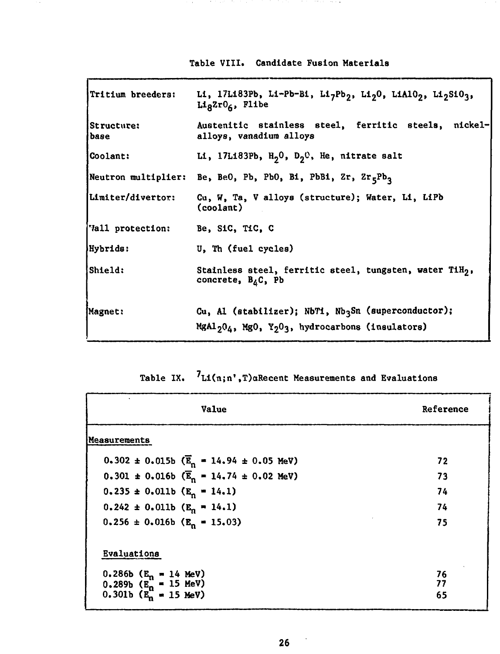| <b>Table VIII. Candidate Fusion Materials</b> |  |  |  |  |  |
|-----------------------------------------------|--|--|--|--|--|
|-----------------------------------------------|--|--|--|--|--|

 $\sim$  100  $\times$  100  $\times$  100  $\times$  100  $\times$ 

 $\lambda$ 

in the trade of the

| Tritium breeders:           | Li, 17L183Pb, Li-Pb-Bi, Li <sub>7</sub> Pb <sub>2</sub> , Li <sub>2</sub> 0, LiA10 <sub>2</sub> , Li <sub>2</sub> S10 <sub>3</sub> ,<br>$Li_8Zr0_6$ , Flibe |  |  |
|-----------------------------|-------------------------------------------------------------------------------------------------------------------------------------------------------------|--|--|
| <b>Structure:</b><br>l base | Austenitic stainless steel, ferritic steels, nickel-<br>alloys, vanadium alloys                                                                             |  |  |
| <b>Coolant:</b>             | Li, 17L183Pb, $H_2^0$ , $D_2^0$ , He, nitrate salt                                                                                                          |  |  |
|                             | Neutron multiplier: Be, BeO, Pb, PbO, Bi, PbBi, $2r_5Pb_3$                                                                                                  |  |  |
| Limiter/divertor:           | Cu, W, Ta, V alloys (structure); Water, Li, LiPb<br>$\text{ (coolant)}$                                                                                     |  |  |
| Vall protection:            | Be, SiC, TiC, C                                                                                                                                             |  |  |
| Hybrids:                    | U, Th (fuel cycles)                                                                                                                                         |  |  |
| Shield:                     | Stainless steel, ferritic steel, tungsten, water TiH <sub>2</sub> ,<br>concrete, B <sub>4</sub> C, Pb                                                       |  |  |
| Magnet:                     | Cu, Al (stabilizer); NbTi, Nb3Sn (superconductor);<br>MgAl <sub>2</sub> 0 <sub>4</sub> , MgO, Y <sub>2</sub> O <sub>3</sub> , hydrocarbons (insulators)     |  |  |

|  | Table IX. $'L1(n;n',T)a$ Recent Measurements and Evaluations |  |  |  |
|--|--------------------------------------------------------------|--|--|--|
|--|--------------------------------------------------------------|--|--|--|

| Value                                                       | Reference |
|-------------------------------------------------------------|-----------|
| Measurements                                                |           |
| $0.302 \pm 0.015b$ ( $\overline{E}_n = 14.94 \pm 0.05$ MeV) | 72        |
| $0.301 \pm 0.016b$ ( $\overline{E}_n = 14.74 \pm 0.02$ MeV) | 73        |
| $0.235 \pm 0.011b$ (E <sub>n</sub> = 14.1)                  | 74        |
| $0.242 \pm 0.011b$ (E <sub>n</sub> = 14.1)                  | 74        |
| $0.256 \pm 0.016b$ (E <sub>n</sub> = 15.03)                 | 75        |
| Evaluations                                                 |           |
| 0.286b ( $E_n = 14$ MeV)                                    | 76        |
| $0.289b$ ( $E_n^{\prime\prime}$ = 15 MeV)                   | 77<br>65  |
| 0.301b $(E_n = 15 \text{ MeV})$                             |           |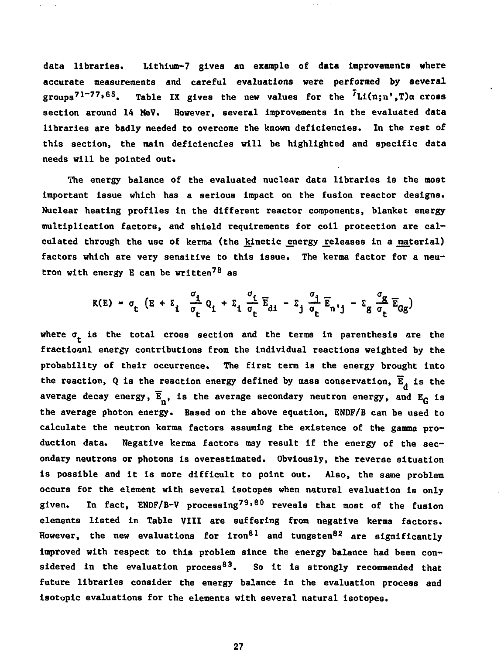**data libraries. Lithium-7 gives an example of data improvements where accurate measurements and careful evaluations were performed by several groups7 1 " 7 7 \* 6 5 . Table IX gives the new values for the <sup>7</sup>Li(n;n',T)ct cross section around 14 MeV. However, several improvements in the evaluated data libraries are badly needed to overcome the known deficiencies. In the rest of this section, the main deficiencies will be highlighted and specific data needs will be pointed out.**

**The energy balance of the evaluated nuclear data libraries is the most important Issue which has a serious impact on the fusion reactor designs. Nuclear heating profiles in the different reactor components, blanket energy multiplication factors, and shield requirements for coil protection are cal**culated through the use of kerma (the kinetic energy releases in a material) **factors which are very sensitive to this issue. The kerma factor for a neutron with energy E can be written<sup>78</sup> as**

$$
K(E) = \sigma_t \left( E + \Sigma_t \frac{\sigma_t}{\sigma_t} Q_t + \Sigma_t \frac{\sigma_t}{\sigma_t} \overline{E}_{dt} - \Sigma_t \frac{\sigma_t}{\sigma_t} \overline{E}_{n'j} - \Sigma_g \frac{\sigma_g}{\sigma_t} \overline{E}_{GG} \right)
$$

where  $\sigma_{\mu}$  is the total cross section and the terms in parenthesis are the **fractioanl energy contributions from the individual reactions weighted by the probability of their occurrence. The first term is the energy brought Into** the reaction, Q is the reaction energy defined by mass conservation,  $\overline{E}_A$  is the average decay energy,  $\overline{E}_n$ , is the average secondary neutron energy, and  $E_G$  is the average photon energy. Based on the above equation, ENDF/B can be used to calculate the neutron kerma factors assuming the existence of the gamma production data. Negative kerma factors may result if the energy of the secondary neutrons or photons is overestimated. Obviously, the reverse situation is possible and it is more difficult to point out. Also, the same problem occurs for the element with several isotopes when natural evaluation is only given. In fact, ENDF/B-V processing<sup>79,80</sup> reveals that most of the fusion alaments listed in Table VIII are suffering from negative kerma factors. However, the new evaluations for iron<sup>81</sup> and tungsten<sup>82</sup> are significantly improved with respect to this problem since the energy balance had been considered in the evaluation process<sup>83</sup>. So it is strongly recommended that future libraries consider the energy balance in the evaluation process and **fusture is allanced functions for the elements with several natural isotopes.**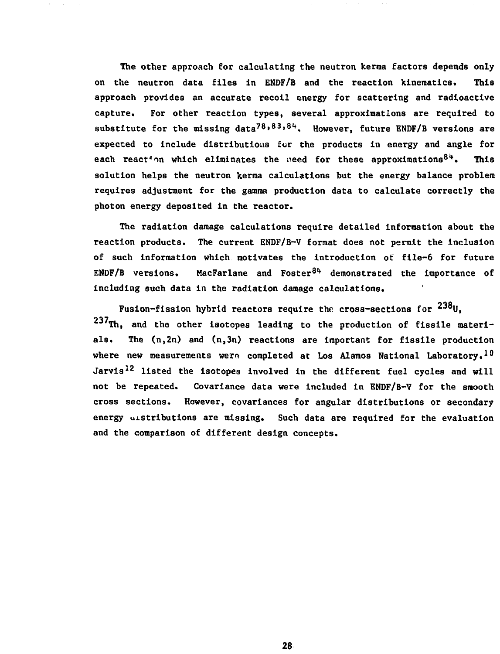**The other approach for calculating the neutron kerraa factors depends only on the neutron data files in ENDF/B and the reaction kinematics. This approach provides an accurate recoil energy for scattering and radioactive capture. For other reaction types, several approximations are required to substitute for the missing data<sup>78</sup>\* 83' <sup>8</sup>"\*. However, future ENDF/B versions are expected to include distributioas fur the products in energy and angle for each react^in which eliminates the need for these approximations<sup>8</sup>\*\*. This solution helps the neutron kerraa calculations but the energy balance problem requires adjustment for the gamma production data to calculate correctly the photon energy deposited in the reactor.**

**The radiation damage calculations require detailed information about the reaction products. The current ENDF/B-V format does not permit the inclusion of such information which motivates the introduction of file-6 for future ENDF/B versions. MacFarlane and Foster<sup>81</sup>\* demonstrated the importance of including such data in the radiation damage calculations. '**

**Fusion-fission hybrid reactors require the cross-sections for** 237Th, and the other isotopes leading to the production of fissile materials. The  $(n, 2n)$  and  $(n, 3n)$  reactions are important for fissile production where new measurements were completed at Los Alamos National Laboratory.<sup>10</sup> Jarvis<sup>12</sup> listed the isotopes involved in the different fuel cycles and will not be repeated. Covariance data were included in ENDF/B-V for the smooth cross sections. However, covariances for angular distributions or secondary energy distributions are missing. Such data are required for the evaluation and the comparison of different design concepts.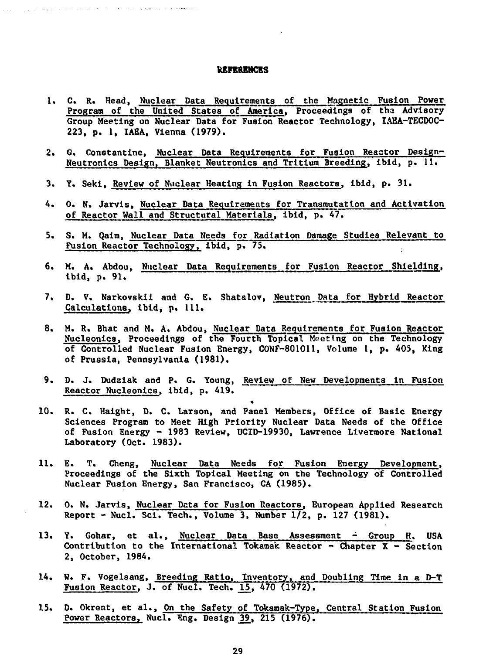#### **REFERENCES**

and the company of the company of the company of the company of the company of the company of the company of the company of the company of the company of the company of the company of the company of the company of the comp

- **1. C. R. Head, Nmclear Data Requirements of the Magnetic Fusion Power Program of the United States of America, Proceedings of tha Advisory Group Meeting on Nuclear Data for Fusion Reactor Technology, IAEA-TECDOC-223, p. 1, IAEA, Vienna (1979).**
- 2. G. Constantine, Nuclear Data Requirements for Fusion Reactor Design-**Neutronics Design, Blanket Neutronics and Tritium Breeding, ibid, p. 11.**
- **3. Y. Seki, Review of Nuclear Heating in Fusion Reactors, ibid, p. 31.**
- **4. 0. N. Jarvis, Nuclear Data Requirements for Transmutation and Activation of Reactor Wall and Structural Materials, ibid, p. 47.**
- **5. S. M. Qalra, Nuclear Data Needs for Radiation Damage Studies Relevant to Fusion Reactor Technology, ibid, p. 75.**
- **6. M. A. Abdou, Nuclear Data Requirements for Fusion Reactor Shielding, ibid, p. 91.**
- **7. D. V. Narkovskii and G. E. Shatalov, Neutron Data for Hybrid Reactor Calculations, Ibid, p. 111.**
- **8. M. R. Bhat and M. A. Abdou, Nuclear Data Requirements for Fusion Reactor Nucleonics, Proceedings of the Fourth Topical Meeting on the Technology of Controlled Nuclear Fusion Energy, CONF-801011, Volume 1, p. 405, King of Prussia, Pennsylvania (1981).**
- **9. D. J. Dudziak and P. G. Young, Review of New Developments in Fusion Reactor Nucleonics, ibid, p. 419.**

•

- **10. R. C. Haight, D. C. Larson, and Panel Members, Office of Basic Energy Sciences Program to Meet High Priority Nuclear Data Needs of the Office of Fusion Energy - 1983 Review, UCID-19930, Lawrence Liverraore National Laboratory (Oct. 1983).**
- **11. E. T. Cheng, Nuclear Data Needs for Fusion Energy Development, Proceedings of the Sixth Topical Meeting on the Technology of Controlled Nuclear Fusion Energy, San Francisco, CA (1985).**
- **12. 0. N. Jarvis, Nuclear Data for Fusion Reactors, European Applied Research Report - Nucl. Sci. Tech., Volume 3, Number 1/2, p. 127 (1981).**
- **13. Y. Gohar, et al., Nuclear Data Base Assessment Group H. USA Contribution to the International Tokamak Reactor - Chapter X - Section 2, October, 1984.**
- **14. W. F. Vogelsang, Breeding Ratio, Inventory, and Doubling Time in a D-T Fusion Reactor, J. of Nucl. Tech. \5\_, 470 (1972).**
- **15. D. Okrent, et al., On the Safety of Tokamak-Type, Central Station Fusion Power Reactorsr Nucl. Eng. Design ^9\_, 215 (1976).**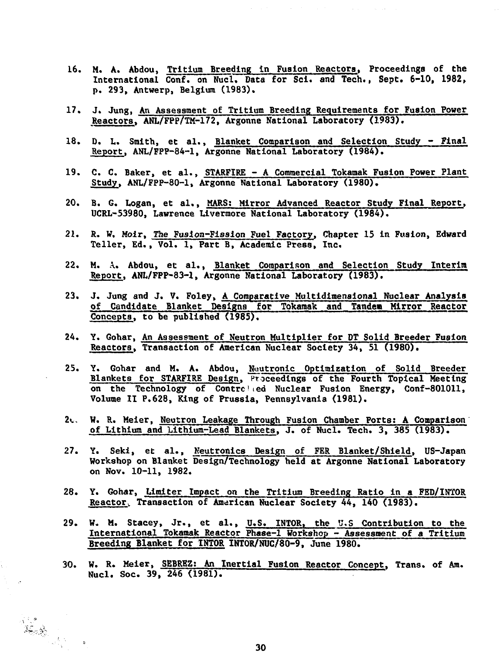- **16. M. A. Abdou, Tritium Breeding In Fusion Reactors, Proceedings of the International Conf. on Nucl, Data for Scl. and Tech., Sept. 6-10, 1982, p. 293, Antwerp, Belgium (1983).**
- **17. J. Jung, An Assessment of Tritium Breeding Requirements for Fusion Power Reactors, ANL/FPP/TM-172, Argonne National Laboratory (1983).**
- **18. D. L. Smith, et al., Blanket Comparison and Selection Study Final Report, ANL/FPP-84-1, Argonne National Laboratory (1984).**
- **19. C. C. Baker, et al., STARFIRE A Commercial Tokamak Fusion Power Plant Study, ANL/FPP-80-1, Argonne National Laboratory (1980).**
- **20. B. G. Logan, et al., MARS; Mirror Advanced Reactor Study Final Report, UCRL-53980, Lawrence Livermore National Laboratory (1984).**
- **21. R. W. Moir, The Fusion-Fission Fuel Factory, Chapter 15 in Fusion, Edward Teller, Ed., Vol. 1, Part B, Academic Press, Inc.**
- **22. M. A. Abdou, et al., Blanket Comparison and Selection Study Interim Report, ANL/FPP-83-1, Argonne National Laboratory (1983).**
- **23. J. Jung and J. V. Foley, A Comparative Multidimensional Nuclear Analysis of Candidate Blanket Designs for Tokamak and Tandew Mirror Reactor Concepts, to be published (1985).**
- **24. Y. Gohar, An Assessment of Neutron Multiplier for DT Solid Breeder Fusion Reactors, Transaction of American Nuclear Society 34, 51 (1980).**
- **25. Y. Gohar and M. A. Abdou, Neutronic Optimization of Solid Breeder Blankets for STARFIRE Design, Proceedings of the Fourth Topical Meeting on the Technology of Contrc'ed Nuclear Fusion Energy, Conf-801011, Volume II P.628, King of Prussia, Pennsylvania (1981).**
- **2<.. W. R. Meier, Neutron Leakage Through Fusion Chamber Ports; A Comparison of Lithium and Lithium-Lead Blankets. J. of Nucl. Tech. 3, 385 (1983).**
- **27. Y. Seki, et al., Neutronics Design of FER Blanket/Shield, US-Japan Workshop on Blanket Design/Technology held at Argonne National Laboratory on Nov. 10-11, 1982.**
- **28. Y. Gohar, Limiter Impact on the Tritium Breeding Ratio in a FED/INTOR Reactorv Transaction of American Nuclear Society 44, 140 (1983).**
- **29. W. M. Stacey, Jr., et al., U.S. INTOR, the U.S Contribution to the International Tokamak Reactor Phase-1 Workshop - Assessment of a Tritium Breeding Blanket for INTOR INTOR/NUC/80-9, June 1980.**
- **30. W. R. Meier, SEBREZ; An Inertial Fusion Reactor Concept, Trans, of Am. Nucl. Soc. 39, 246 (1981).**

k.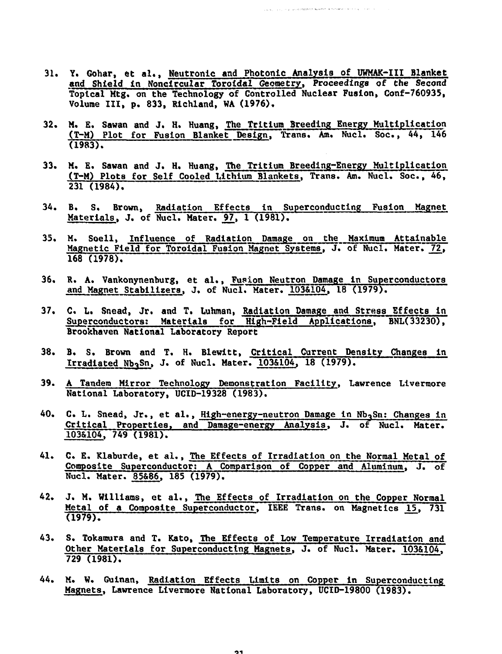**31. Y. Gohar, et al., Neutronic and Photonic Analysis of UWMAK-III Blanket and Shield In Noncircular Toroidal Geometry, Proceedings of the Second Toptcal Mtg. on the Technology of Controlled Nuclear Fusion, Conf-760935, Volume III, p. 833, Rlchland, WA (1976).**

.<br>2010 - Januar Andreas States (1983), an t-ataith an a-chair an a-chair an a-chair an a-chair an a-chair an a-c

- **32. M. E. Sawan and J. H. Huang, The Tritium Breeding Energy Multiplication (T-M) Plot for Fusion Blanket Design, Trans. Am. Nucl. Soc., 44, 146 (1983).**
- **33. M. E. Sawan and J. H. Huang, The Tritium Breeding-Energy Multiplication (T-M) Plots for Self Cooled Lithium Blankets, Trans. Am. Nucl. Soc., 46, 231 (1984).**
- **34. B. S. Brown, Radiation Effects In Superconducting Fusion Magnet** Materials, J. of Nucl. Mater. 97, 1 (1981).
- **35. M. Soell, Influence of Radiation Damage on the Maximum Attainable Magnetic Field for Toroidal Fusion Magnet Systems, J. of Nucl. Mater. 72, 168 (1978).**
- **36. R. A. Vankonynenburg, et al., Fusion Neutron Damage In Superconductors** and Magnet Stabilizers, J. of Nucl. Mater. 103&104, 18 (1979).
- **37. C. L. Snead, Jr. and T. Luhman, Radiation Damage and Stress Effects In** Superconductors: Materials for **High-Field Applications**, BNL(33230), **Brookhaven National Laboratory Report**
- **38. B. S. Brown and T. H. Blewitt, Critical Current Density Changes in Irradiated Nb3Sn, J. of Nucl. Mater. 103&104, 18 (1979).**
- **39. A Tandem Mirror Technology Demonstration Facility, Lawrence Liverraore National Laboratory, UCID-19328 (1983).**
- **40. C. L. Snead, Jr., et al., High-energy-neutron Damage in Nb^Sn; Changes in Critical Properties, and Damage-energy Analysis, J. of Nucl. Mater. 103&104. 749 (1981).**
- **41. C. E. Klaburde, et al., The Effects of Irradiation on the Normal Metal of Composite Superconductor; A Comparison of Copper and Aluminum. J. of Nucl. Mater. 85&86, 185 (1979).**
- **42. J. M. Williams, et al., The Effects of Irradiation on the Copper Normal Metal of a Composite Superconductor, IEEE Trans, on Magnetics 15, 731 (1979).**
- **43. S. Tokamura and T. Kato, The Effects of Low Temperature Irradiation and Other Materials for Superconducting Magnets, J. of Nucl. Mater. 103&104, 729 (1981).**
- **44. M. W. Guinan, Radiation Effects Limits on Copper In Superconducting Magnets, Lawrence Liverraore National Laboratory, UCID-19800 (1983).**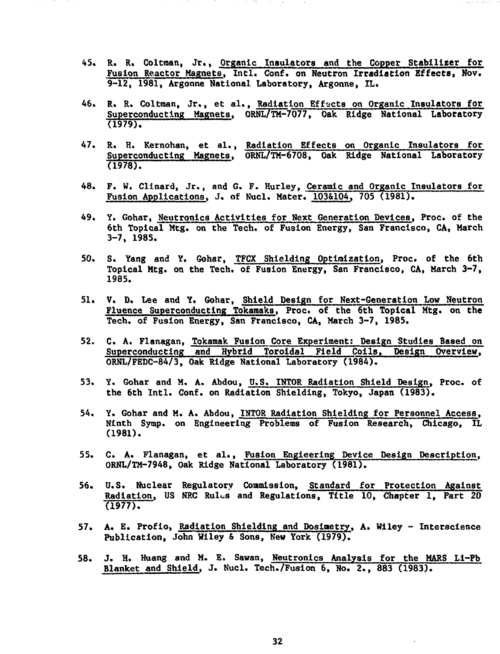- **45. R. R. Coltraan, Jr., Organic Insulators and the Copper Stabilizer for Fusion Reactor Magnets, Intl. Conf. on Neutron Irradiation Effects, Nov. 9-12, 1981, Argonne National Laboratory, Argonne, IL.**
- **A6. R. R. Coltman, Jr., et al., Radiation Effects on Organic Insulators for Superconducting Magnets, ORNL/TM-7077, Oak Ridge National Laboratory (1979).**
- **47. R. H. Kernohan, et al., Radiation Effects on Organic Insulators for Superconducting Magnets, ORNL/TM-6708, Oak Ridge National Laboratory (1978).**
- **48. F. W. Clinard, Jr., and G. F. Hurley, Ceramic and Organic Insulators for Fusion Applications, J. of Nucl. Mater. 103&104, 705 (1981).**
- **49. Y. Gohar, Neutronics Activities for Next Generation Devices, Proc. of the 6th Topical Mtg. on the Tech. of Fusion Energy, San Francisco, CA, March 3-7, 1985.**
- **50. S. Yang and Y. Gohar, TFCX Shielding Optimization, Proc. of the 6th Topical Mtg. on the Tech. of Fusion Energy, San Francisco, CA, March 3-7, 1985.**
- **51. V. D. Lee and Y. Gohar, Shield Design for Next-Generation Low Neutron Fluence Superconducting Tokamaks, Proc. of the 6th Topical Mtg. on the Tech. of Fusion Energy, San Francisco, CA, March 3-7, 1985.**
- **52. C. A. Flanagan, Tokamak Fusion Core Experiment: Design Studies Baaed on Superconducting and Hybrid Toroidal Field Coils, Design Overview, ORNL/FEDC-84/3, Oak Ridge National Laboratory (1984).**
- **53. Y. Gohar and M. A. Abdou, U.S. INTOR Radiation Shield Design, Proc. of the 6th Intl. Conf. on Radiation Shielding, Tokyo, Japan (1983).**
- **54. Y. Gohar and M. A. Abdou, INTOR Radiation Shielding for Personnel Access, Ninth Symp. on Engineering Problems of Fusion Research, Chicago, IL (1981).**
- **55. C. A. Flanagan, et al., Fusion Engieering Device Design Description. ORNL/TM-7948, Oak Ridge National Laboratory (1981).**
- **56. U.S. Nuclear Regulatory Commission, Standard for Protection Against Radiation, US NRC Rules and Regulations, Title 10, Chapter 1, Part 20 (1977).**
- **57. A. E. Profio, Radiation Shielding and Doslmetry, A. Wiley Interscience Publication, John Wiley & Sons, New York (1979).**
- **58. J. H. Huang and M. E. Sawan, Neutronics Analysis for the MARS Li-Pb Blanket and Shield, J. Nucl. Tech./Fusion 6, No. 2., 883 (1983).**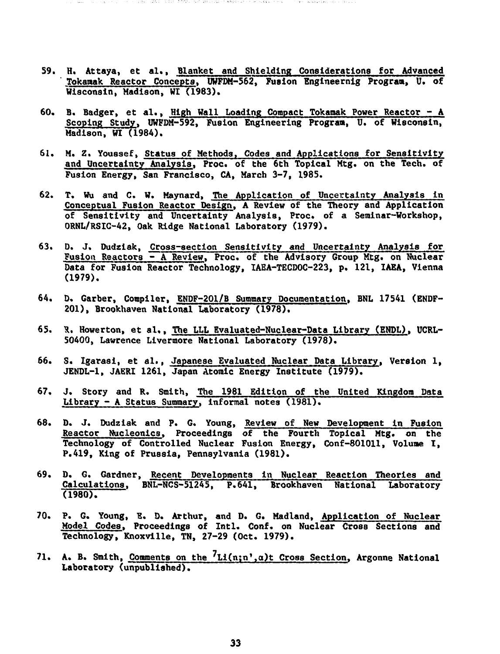**59. H. Attaya, et al., Blanket and Shielding Considerations for Advanced ' Tokamak Reactor Concepts, UWFDM-562, Fusion Englneernig Program, U. of Wisconsin, Madison, WI (1983).**

the first state of the control of the Manual Con-

- **60. B. Badger, et al., High Wall Loading Compact Tokamak Power Reactor A Scoping Study, UWFDM-592, Fusion Engineering Program, U. of Wisconsin, Madison, WI (1984).**
- **61. M. Z. Youssef, Status of Methods, Codes and Applications for Sensitivity and Uncertainty Analysis, Proc. of the 6th Topical Mtg. on the Tech. of Fusion Energy, San Francisco, CA, March 3-7, 1985.**
- **62. T. Wu and C. W. Maynard, The Application of Uncertainty Analysis in Conceptual Fusion Reactor Design, A Review of the Theory and Application of Sensitivity and Uncertainty Analysis, Proc. of a Seminar-Workshop, ORNL/RSIC-42, Oak Ridge National Laboratory (1979).**
- **63. D. J, Dudziak, Cross-section Sensitivity and Uncertainty Analysis for Fusion Reactors - A Review, Proc. of the Advisory Group Mtg. on Nuclear Data for Fusion Reactor Technology, IAEA-TECDOC-223, p. 121, IAEA, Vienna (1979).**
- **64. D. Garber, Compiler, ENDF-201/B Summary Documentation, BNL 17541 (ENDF-201), Brookhaven National Laboratory (1978).**
- **65. R. Howerton, et al., The LLL Evaluated-Nuclear-Data Library (ENDL), UCRL-50400, Lawrence Livermore National Laboratory (1978).**
- **66. S. Igarasi, et al., Japanese Evaluated Nuclear Data Library, Version 1, JENDL-1, JAERI 1261, Japan Atomic Energy Institute (1979).**
- **67. J. Story and R. Smith, The 1981 Edition of the United Kingdom Data Library - A Status Summary, informal notes (1981).**
- **68. D. J. Dudziak and P. G. Young, Review of New Development in Fusion Reactor Nucleonics, Proceedings of the Fourth Topical Mtg. on the Technology of Controlled Nuclear Fusion Energy, Conf-801011, Volume I, P.419, King of Prussia, Pennsylvania (1981).**
- **69. D. G. Gardner, Recent Developments in Nuclear Reaction Theories and Calculations, BNL-NCS-51245, P.641, Brookhaven National Laboratory (1980).**
- **70. P. G. Young, E. D. Arthur, and D. G. Madland, Application of Nuclear Model Codes. Proceedings of Intl. Conf. on Nuclear Cross Sections and Technology, Knoxville, TN, 27-29 (Oct. 1979).**
- **71. A. B. Smith, Comments on the ^Li(n;n',q)t Cross Section, Argonne National Laboratory (unpublished).**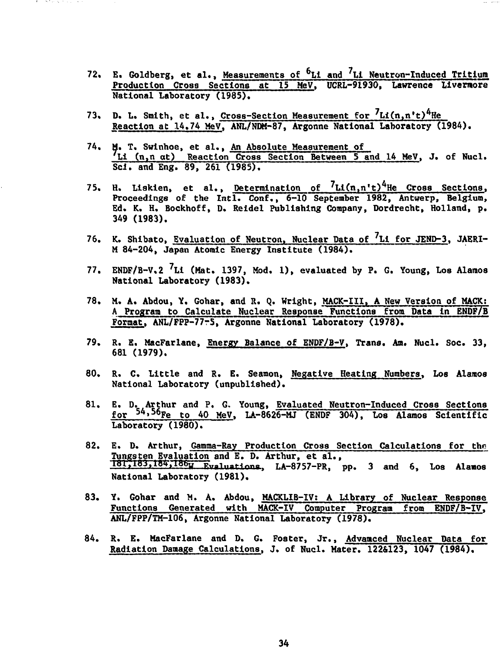- **72. E. Goldberg, et al., Measurements of <sup>6</sup>Li and <sup>7</sup> U Neutron-Induced Tritium Production Cross Sections at 15 MeV, UCRL-91930, Lawrence llvermore National Laboratory (1985).**
- **73. D. L. Smith, et al., Cross-Section Measurement for Reaction at 14.74 MeV, ANL/NDM-87, Argonne National Laboratory (1984).**
- **74. M. T. Swlnhoe, et al., An Absolute Measurement of Li (n.n at) Reaction Cross Section Between 5 and 14 MeV, J. of Nucl. Scl. and Eng. 89, 261 (1985).**
- **75. H. Liskien, et al., Determination of <sup>7</sup>Ll(n,n't)^He Cross Sections, Proceedings of the Intl. Conf., 6-10 September 1982, Antwerp, Belgium, Ed. K. H. Bockhoff, D. Reidel Publishing Company, Dordrecht, Holland, p. 349 (1983),**
- **76. K. Shibato, Evaluation of Neutron, Nuclear Data of <sup>7</sup>Li for JEND-3, JAERI-M 84-204, Japan Atomic Energy Institute (1984).**
- **77. ENDF/B-V.2 <sup>7</sup>Li (Mat. 1397, Mod. 1), evaluated by P. G. Young, Los Alamos National Laboratory (1983).**
- **78. M. A. Abdou, Y. Gohar, and It. Q. Wright, MACK-III. A New Version of MACK:** A Program to Calculate Nuclear Response Functions from Data in ENDF/B **Format, ANL/FPP-77r5, Argonne National Laboratory (1978).**
- **79. R. E. MacFarlane, Energy Balance of ENDF/B-V, Trans. Am. Nucl. Soc. 33, 681 (1979).**
- **80. R. C. Little and R. E. Seamon, Negative Heating Numbers. Los Alamos National Laboratory (unpublished).**
- **81. E. D. Arthur and P. G. Young, Evaluated Neutron-Induced Cross Sections for 5A> <sup>5</sup>6Fe to 40 MeV, LA-8626-MJ (ENDF 304), Los Alamos Scientific Laboratory (1980).**
- **82. E. D. Arthur, Gamma-Ray Production Cross Section Calculations for the Tungsten Evaluation and E. D. Arthur, et al.,** 181,183,184,186w **Fvaluations**, LA-8757-PR, pp. 3 and 6, Los Alamos **National Laboratory (1981).**
- **83. Y. Gohar and M. A. Abdou, MACKLIB-IV; A Library of Nuclear Response Functions Generated with MACK-IV Computer Program from ENDF/B-IV, ANL/FPP/TM-106, Argonne National Laboratory (1978).**
- **84. R. E. MacFarlane and D. G. Foster, Jr., Advanced Nuclear Data for Radiation Damage Calculations, J. of Nucl. Mater. 122&123, 1047 (1984).**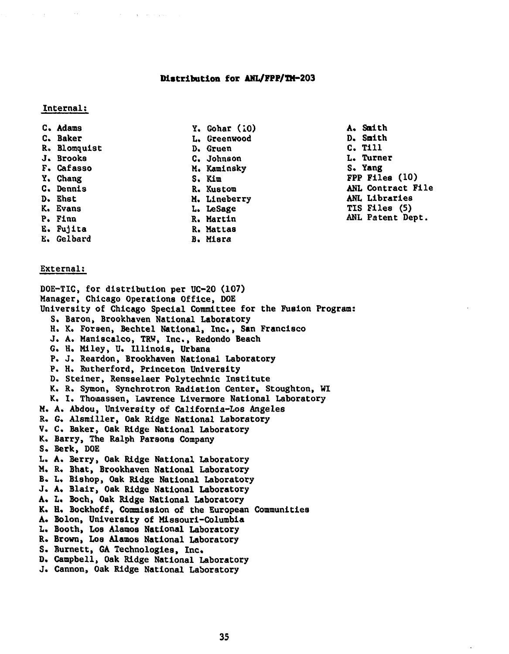## **Distribution for ANL/FPP/TH-203**

## Internal:

- 
- 
- 
- 
- 
- 
- 
- 
- 
- 
- E. Fujita R. Mattas
- E. Gelbard B. Misra
- C. Adams (C. Adams (C. Adams (C. Adams (C. Adams (C. Adams (C. Adams (C. Adams (C. Adams (C. Adams (C. Adams (C. Adams (C. Adams (C. Adams (C. Adams (C. Adams (C. Adams (C. Adams (C. Adams (C. Adams (C. Adams (C. Adams (C. L. Greenwood de D. Smith<br>
D. Gruen de C. Till R» Blomquist D. Gruen C. Till C. Johnson L. Turner<br>M. Kaminsky L. S. Yang F. Cafasso M. Kaminsky<br>
Y. Chang S. Kim D. Ehst M. Lineberry<br>
K. Evans<br>
L. LeSage
- Y. Chang (10)<br>
C. Dennis S. Kim S. Kustom (10)<br>
R. Kustom (10)<br>
R. Kustom (10) R. Kustom **ANL Contract File**<br>
M. Lineberry **ANL Libraries** TIS Files (5) P. Finn R. Martin ANL Patent Dept.

 $\ddot{\phantom{a}}$ 

## External:

DOE-TIC, for distribution per UC-20 (107) Manager, Chicago Operations Office, DOE University of Chicago Special Committee for the Fusion Program: S. Baron, Brookhaven National Laboratory H. K. Forsen, Bechtel National, Inc., San Francisco J. A. Maniscaico, TRW, Inc., Redondo Beach G. H. Miley, U. Illinois, Urbana P. J. Reardon, Brookhaven National Laboratory P. H. Rutherford, Princeton University D. Steiner, Rensselaer Polytechnic Institute K. R. Symon, Synchrotron Radiation Center, Stoughton, WI K. I. Thomassen, Lawrence Livermore National Laboratory M. A. Abdou, University of California-Los Angeles R. G. Alsmiller, Oak Ridge National Laboratory V. C. Baker, Oak Ridge National Laboratory K. Barry, The Ralph Parsons Company S. Berk, DOE L. A. Berry, Oak Ridge National Laboratory M. R. Bhat, Brookhaven National Laboratory B. L. Bishop, Oak Ridge National Laboratory J. A. Blair, Oak Ridge National Laboratory A. L. Boch, Oak Ridge National Laboratory K. H. Bockhoff, Commission of the European Communities A. Bolon, University of Missouri-Columbia L. Booth, LOB Alamos National Laboratory R. Brown, Los Alamos National Laboratory S. Burnett, GA Technologies, Inc. D. Campbell, Oak Ridge National Laboratory J. Cannon, Oak Ridge National Laboratory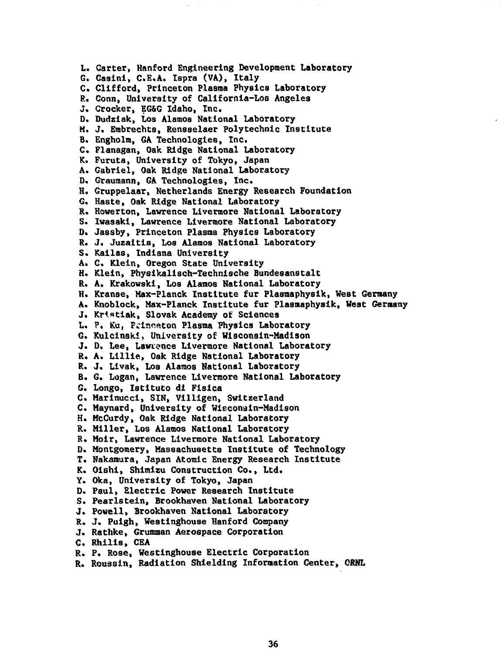**L. Carter, Hanford Engineering Development Laboratory G. Casini, C.E.A. Ispra (VA), Italy C. Clifford, Princeton Plasma Physics Laboratory P.. Conn, University of California-Los Angeles J. Crocker, EG&G Idaho, Inc. D. Dudziak, Los Alamos National Laboratory M. J. Erabrechta, Rensselaer Polytechnic Institute B. Engholra, GA Technologies, Inc. C. Flanagan, Oak Ridge National Laboratory K. Furuta, University of Tokyo, Japan A. Gabriel, Oak Ridge National Laboratory D. Graumann, GA Technologies, Inc. H. Gruppelaar, Netherlands Energy Research Foundation G. Haste, Oak Ridge National Laboratory R. Howerton, Lawrence Livermore National Laboratory S. Iwasaki, Lawrence Livermore National Laboratory D. Jassby, Princeton Plasma Physics Laboratory R. J. Juzaitis, Los Alamos National Laboratory S. Kailas, Indiana University A. C. Klein, Oregon State University H. Klein, Physikalisch-Technische Bundesanstalt R. A. Krakowski, Los Alamos National Laboratory H. Kranse, Max-Planck Institute fur Plasmaphysik, West Germany A. Knoblock, Max-Planck Institute fur Plasmaphysik, West Germany J. Kristiak, Slovak Academy of Sciences** L. P. Ku, Frinceton Plasma Physics Laboratory **G. Kulcinski, University of Wisconsin-Madison J. D. Lee, Lawrence Livermore National Laboratory R. A. Lillie, Oak Ridge National Laboratory R. J. Livak, Los Alamos National Laboratory B. G. Logan, Lawrence Livermore National Laboratory G. Longo, Istituto di Fislca C. Marinucci, SIN, Villigen, Switzerland C. Maynard, University of Wisconsin-Madison H. MeCurdy, Oak Ridge National Laboratory R. Miller, Los Alamos National Laboratory R. Moir, Lawrence Livermore National Laboratory D. Montgomery, Massachusetts Institute of Technology T. Nakamura, Japan Atomic Energy Research Institute K. Oishi, Shimizu Construction Co., Ltd. Y. Oka, University of Tokyo, Japan D. Paul, Electric Power Research Institute S. Pearlstein, Brookhaven National Laboratory J. Powell, Brookhaven National Laboratory R. J. Puigh, Westinghouse Hanford Company J. Rathke, Grumman Aerospace Corporation C. Rhilis, CEA R. P. Rose, Westinghouse Electric Corporation**

**R. Roussin, Radiation Shielding Information Center, ORNL**